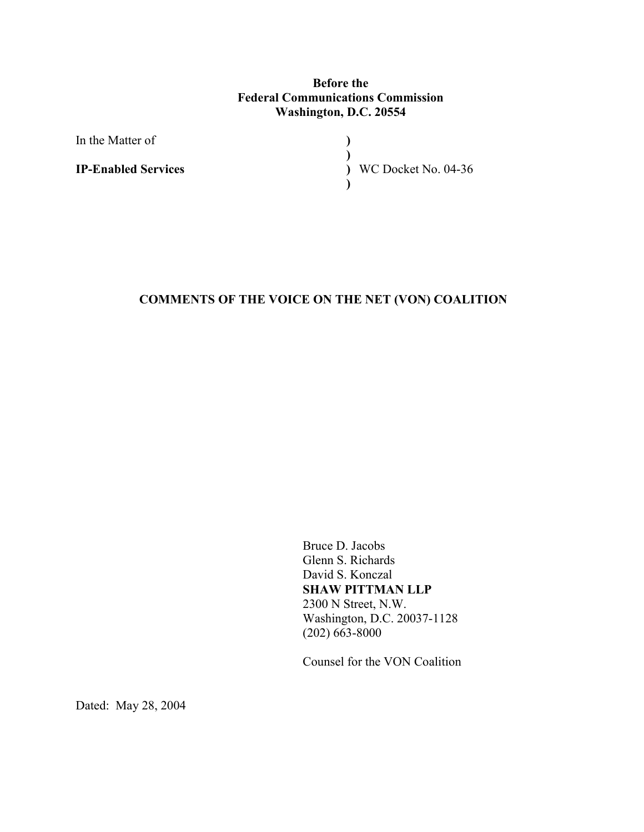## **Before the Federal Communications Commission Washington, D.C. 20554**

**) ) ) )**

In the Matter of

**IP-Enabled Services**

WC Docket No. 04-36

# **COMMENTS OF THE VOICE ON THE NET (VON) COALITION**

 Bruce D. Jacobs Glenn S. Richards David S. Konczal **SHAW PITTMAN LLP**  2300 N Street, N.W. Washington, D.C. 20037-1128  $(202)$  663-8000

Counsel for the VON Coalition

Dated: May 28, 2004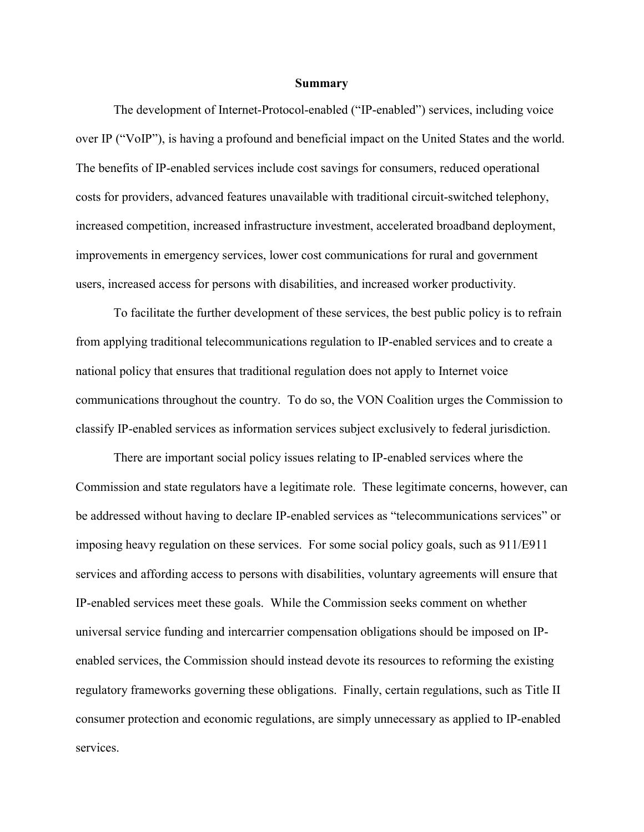#### **Summary**

 The development of Internet-Protocol-enabled ("IP-enabled") services, including voice over IP ("VoIP"), is having a profound and beneficial impact on the United States and the world. The benefits of IP-enabled services include cost savings for consumers, reduced operational costs for providers, advanced features unavailable with traditional circuit-switched telephony, increased competition, increased infrastructure investment, accelerated broadband deployment, improvements in emergency services, lower cost communications for rural and government users, increased access for persons with disabilities, and increased worker productivity.

To facilitate the further development of these services, the best public policy is to refrain from applying traditional telecommunications regulation to IP-enabled services and to create a national policy that ensures that traditional regulation does not apply to Internet voice communications throughout the country. To do so, the VON Coalition urges the Commission to classify IP-enabled services as information services subject exclusively to federal jurisdiction.

There are important social policy issues relating to IP-enabled services where the Commission and state regulators have a legitimate role. These legitimate concerns, however, can be addressed without having to declare IP-enabled services as "telecommunications services" or imposing heavy regulation on these services. For some social policy goals, such as 911/E911 services and affording access to persons with disabilities, voluntary agreements will ensure that IP-enabled services meet these goals. While the Commission seeks comment on whether universal service funding and intercarrier compensation obligations should be imposed on IPenabled services, the Commission should instead devote its resources to reforming the existing regulatory frameworks governing these obligations. Finally, certain regulations, such as Title II consumer protection and economic regulations, are simply unnecessary as applied to IP-enabled services.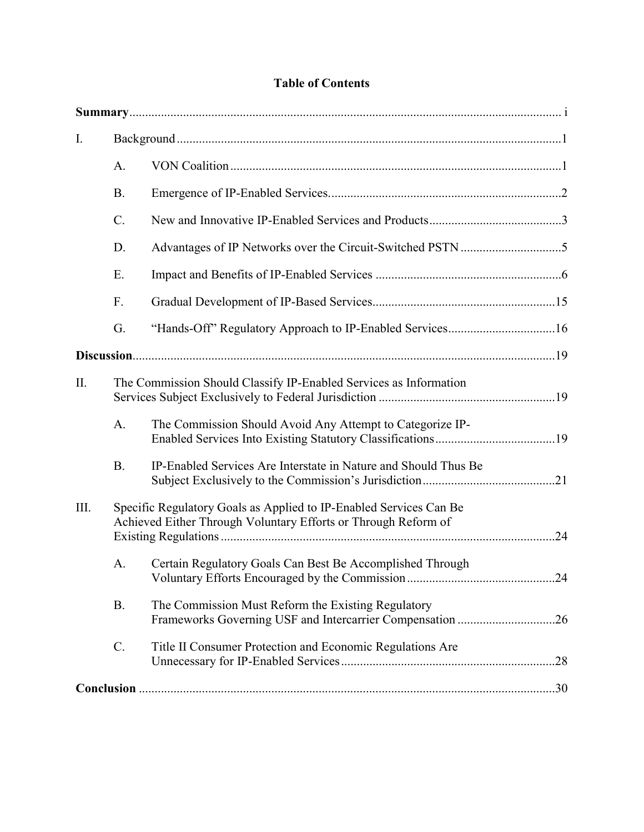|  | <b>Table of Contents</b> |
|--|--------------------------|
|--|--------------------------|

| I.   |                |                                                                                                                                      |     |
|------|----------------|--------------------------------------------------------------------------------------------------------------------------------------|-----|
|      | A.             |                                                                                                                                      |     |
|      | <b>B.</b>      |                                                                                                                                      |     |
|      | $C$ .          |                                                                                                                                      |     |
|      | D.             |                                                                                                                                      |     |
|      | E.             |                                                                                                                                      |     |
|      | F.             |                                                                                                                                      |     |
|      | G.             |                                                                                                                                      |     |
|      |                |                                                                                                                                      |     |
| II.  |                | The Commission Should Classify IP-Enabled Services as Information                                                                    |     |
|      | A.             | The Commission Should Avoid Any Attempt to Categorize IP-                                                                            |     |
|      | B <sub>1</sub> | IP-Enabled Services Are Interstate in Nature and Should Thus Be                                                                      |     |
| III. |                | Specific Regulatory Goals as Applied to IP-Enabled Services Can Be<br>Achieved Either Through Voluntary Efforts or Through Reform of |     |
|      | A.             | Certain Regulatory Goals Can Best Be Accomplished Through                                                                            |     |
|      | <b>B.</b>      | The Commission Must Reform the Existing Regulatory<br>Frameworks Governing USF and Intercarrier Compensation 26                      |     |
|      | $C$ .          | Title II Consumer Protection and Economic Regulations Are                                                                            | .28 |
|      |                |                                                                                                                                      |     |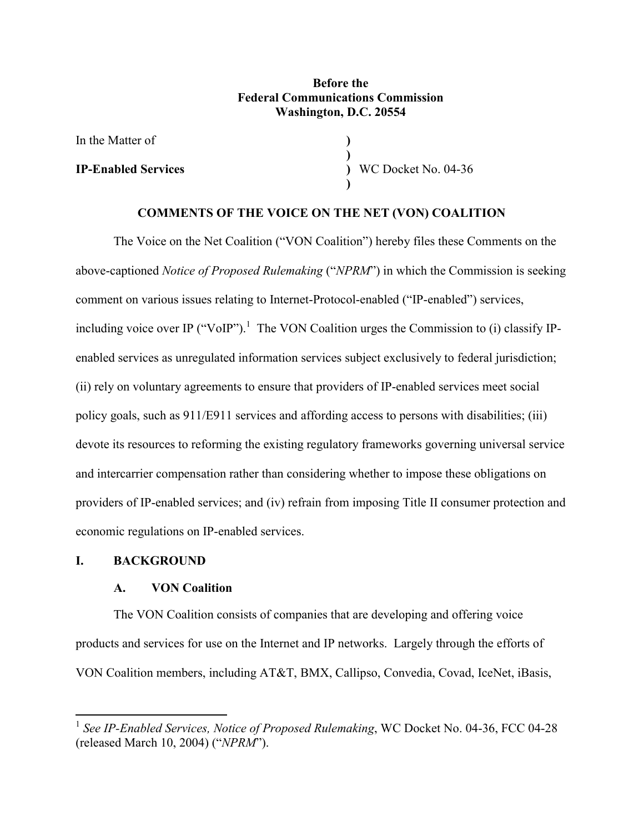## **Before the Federal Communications Commission Washington, D.C. 20554**

**) )**

**)**

In the Matter of

**IP-Enabled Services**

**)** WC Docket No. 04-36

## **COMMENTS OF THE VOICE ON THE NET (VON) COALITION**

 The Voice on the Net Coalition ("VON Coalition") hereby files these Comments on the above-captioned *Notice of Proposed Rulemaking* ("*NPRM*") in which the Commission is seeking comment on various issues relating to Internet-Protocol-enabled ("IP-enabled") services, including voice over IP ("VoIP").<sup>1</sup> The VON Coalition urges the Commission to (i) classify IPenabled services as unregulated information services subject exclusively to federal jurisdiction; (ii) rely on voluntary agreements to ensure that providers of IP-enabled services meet social policy goals, such as 911/E911 services and affording access to persons with disabilities; (iii) devote its resources to reforming the existing regulatory frameworks governing universal service and intercarrier compensation rather than considering whether to impose these obligations on providers of IP-enabled services; and (iv) refrain from imposing Title II consumer protection and economic regulations on IP-enabled services.

### **I. BACKGROUND**

 $\overline{a}$ 

## **A. VON Coalition**

 The VON Coalition consists of companies that are developing and offering voice products and services for use on the Internet and IP networks. Largely through the efforts of VON Coalition members, including AT&T, BMX, Callipso, Convedia, Covad, IceNet, iBasis,

<sup>1</sup> *See IP-Enabled Services, Notice of Proposed Rulemaking*, WC Docket No. 04-36, FCC 04-28 (released March 10, 2004) ("*NPRM*").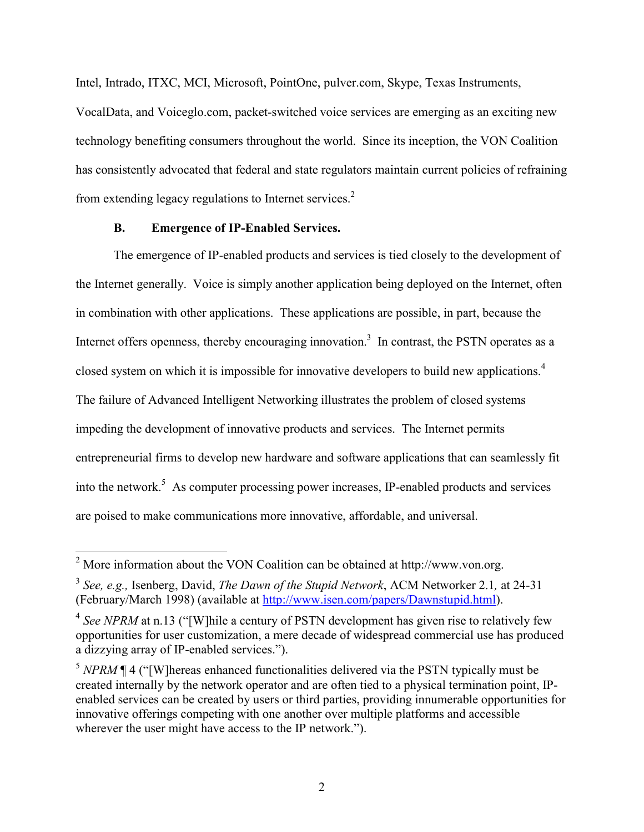Intel, Intrado, ITXC, MCI, Microsoft, PointOne, pulver.com, Skype, Texas Instruments,

VocalData, and Voiceglo.com, packet-switched voice services are emerging as an exciting new technology benefiting consumers throughout the world. Since its inception, the VON Coalition has consistently advocated that federal and state regulators maintain current policies of refraining from extending legacy regulations to Internet services.<sup>2</sup>

### **B. Emergence of IP-Enabled Services.**

 The emergence of IP-enabled products and services is tied closely to the development of the Internet generally. Voice is simply another application being deployed on the Internet, often in combination with other applications. These applications are possible, in part, because the Internet offers openness, thereby encouraging innovation.<sup>3</sup> In contrast, the PSTN operates as a closed system on which it is impossible for innovative developers to build new applications.<sup>4</sup> The failure of Advanced Intelligent Networking illustrates the problem of closed systems impeding the development of innovative products and services. The Internet permits entrepreneurial firms to develop new hardware and software applications that can seamlessly fit into the network.<sup>5</sup> As computer processing power increases, IP-enabled products and services are poised to make communications more innovative, affordable, and universal.

<sup>&</sup>lt;sup>2</sup> More information about the VON Coalition can be obtained at http://www.von.org.

<sup>3</sup> *See, e.g.,* Isenberg, David, *The Dawn of the Stupid Network*, ACM Networker 2.1*,* at 24-31 (February/March 1998) (available at http://www.isen.com/papers/Dawnstupid.html).

<sup>&</sup>lt;sup>4</sup> See NPRM at n.13 ("[W]hile a century of PSTN development has given rise to relatively few opportunities for user customization, a mere decade of widespread commercial use has produced a dizzying array of IP-enabled services.").

<sup>&</sup>lt;sup>5</sup> *NPRM* ¶ 4 ("[W]hereas enhanced functionalities delivered via the PSTN typically must be created internally by the network operator and are often tied to a physical termination point, IPenabled services can be created by users or third parties, providing innumerable opportunities for innovative offerings competing with one another over multiple platforms and accessible wherever the user might have access to the IP network.").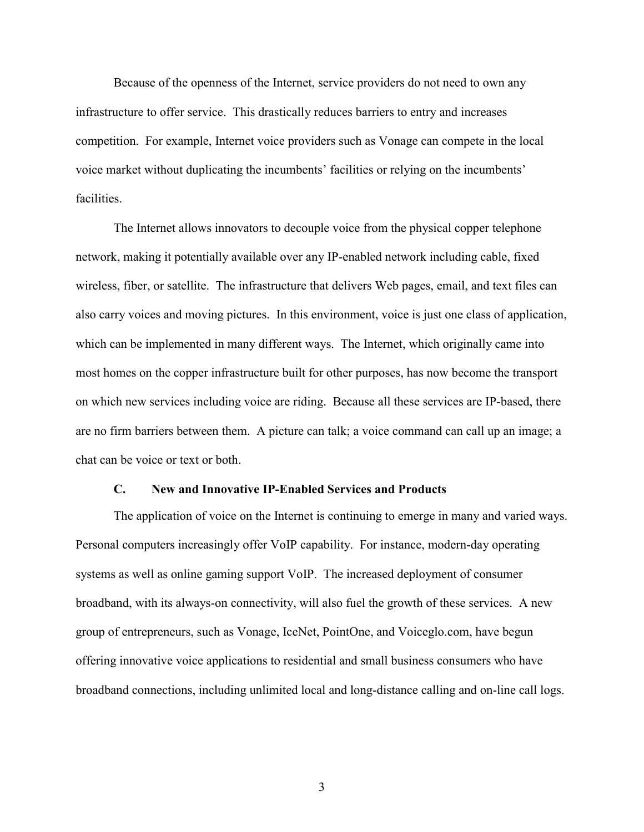Because of the openness of the Internet, service providers do not need to own any infrastructure to offer service. This drastically reduces barriers to entry and increases competition. For example, Internet voice providers such as Vonage can compete in the local voice market without duplicating the incumbents' facilities or relying on the incumbents' facilities.

 The Internet allows innovators to decouple voice from the physical copper telephone network, making it potentially available over any IP-enabled network including cable, fixed wireless, fiber, or satellite. The infrastructure that delivers Web pages, email, and text files can also carry voices and moving pictures. In this environment, voice is just one class of application, which can be implemented in many different ways. The Internet, which originally came into most homes on the copper infrastructure built for other purposes, has now become the transport on which new services including voice are riding. Because all these services are IP-based, there are no firm barriers between them. A picture can talk; a voice command can call up an image; a chat can be voice or text or both.

#### **C. New and Innovative IP-Enabled Services and Products**

 The application of voice on the Internet is continuing to emerge in many and varied ways. Personal computers increasingly offer VoIP capability. For instance, modern-day operating systems as well as online gaming support VoIP. The increased deployment of consumer broadband, with its always-on connectivity, will also fuel the growth of these services. A new group of entrepreneurs, such as Vonage, IceNet, PointOne, and Voiceglo.com, have begun offering innovative voice applications to residential and small business consumers who have broadband connections, including unlimited local and long-distance calling and on-line call logs.

3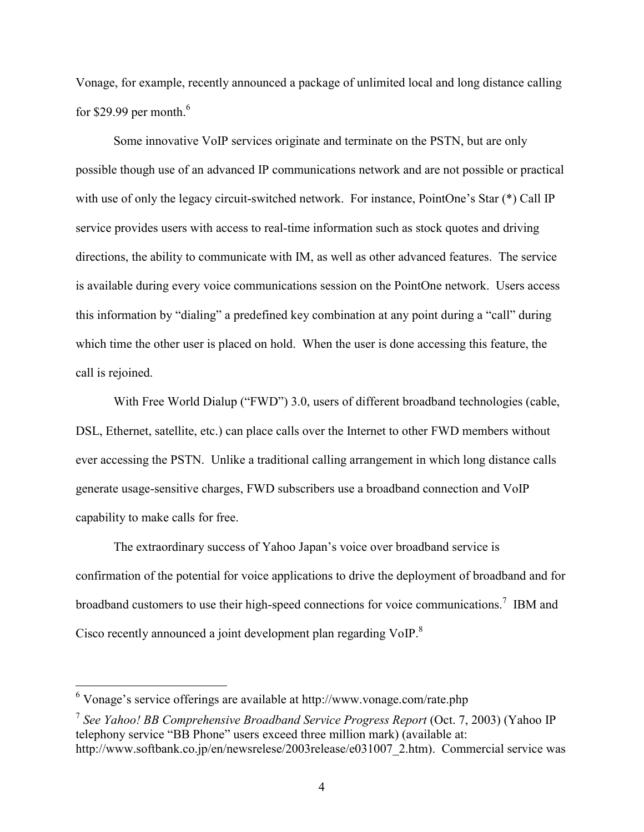Vonage, for example, recently announced a package of unlimited local and long distance calling for \$29.99 per month. $^6$ 

 Some innovative VoIP services originate and terminate on the PSTN, but are only possible though use of an advanced IP communications network and are not possible or practical with use of only the legacy circuit-switched network. For instance, PointOne's Star (\*) Call IP service provides users with access to real-time information such as stock quotes and driving directions, the ability to communicate with IM, as well as other advanced features. The service is available during every voice communications session on the PointOne network. Users access this information by "dialing" a predefined key combination at any point during a "call" during which time the other user is placed on hold. When the user is done accessing this feature, the call is rejoined.

 With Free World Dialup ("FWD") 3.0, users of different broadband technologies (cable, DSL, Ethernet, satellite, etc.) can place calls over the Internet to other FWD members without ever accessing the PSTN. Unlike a traditional calling arrangement in which long distance calls generate usage-sensitive charges, FWD subscribers use a broadband connection and VoIP capability to make calls for free.

 The extraordinary success of Yahoo Japan's voice over broadband service is confirmation of the potential for voice applications to drive the deployment of broadband and for broadband customers to use their high-speed connections for voice communications.<sup>7</sup> IBM and Cisco recently announced a joint development plan regarding VoIP.<sup>8</sup>

 6 Vonage's service offerings are available at http://www.vonage.com/rate.php

<sup>7</sup> *See Yahoo! BB Comprehensive Broadband Service Progress Report* (Oct. 7, 2003) (Yahoo IP telephony service "BB Phone" users exceed three million mark) (available at: http://www.softbank.co.jp/en/newsrelese/2003release/e031007\_2.htm). Commercial service was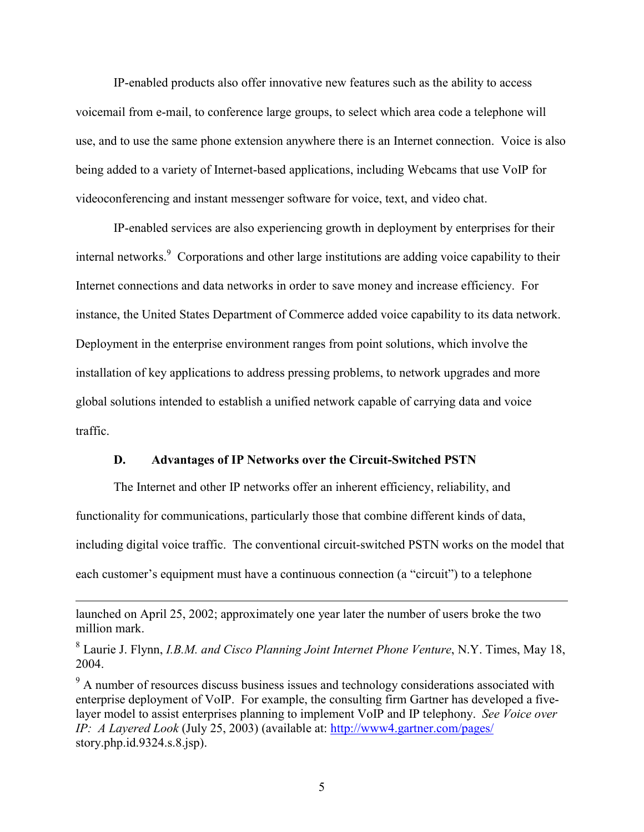IP-enabled products also offer innovative new features such as the ability to access voicemail from e-mail, to conference large groups, to select which area code a telephone will use, and to use the same phone extension anywhere there is an Internet connection. Voice is also being added to a variety of Internet-based applications, including Webcams that use VoIP for videoconferencing and instant messenger software for voice, text, and video chat.

 IP-enabled services are also experiencing growth in deployment by enterprises for their internal networks.<sup>9</sup> Corporations and other large institutions are adding voice capability to their Internet connections and data networks in order to save money and increase efficiency. For instance, the United States Department of Commerce added voice capability to its data network. Deployment in the enterprise environment ranges from point solutions, which involve the installation of key applications to address pressing problems, to network upgrades and more global solutions intended to establish a unified network capable of carrying data and voice traffic.

## **D. Advantages of IP Networks over the Circuit-Switched PSTN**

 The Internet and other IP networks offer an inherent efficiency, reliability, and functionality for communications, particularly those that combine different kinds of data, including digital voice traffic. The conventional circuit-switched PSTN works on the model that each customer's equipment must have a continuous connection (a "circuit") to a telephone

launched on April 25, 2002; approximately one year later the number of users broke the two million mark.

<sup>8</sup> Laurie J. Flynn, *I.B.M. and Cisco Planning Joint Internet Phone Venture*, N.Y. Times, May 18, 2004.

 $9<sup>9</sup>$  A number of resources discuss business issues and technology considerations associated with enterprise deployment of VoIP. For example, the consulting firm Gartner has developed a fivelayer model to assist enterprises planning to implement VoIP and IP telephony. *See Voice over IP: A Layered Look* (July 25, 2003) (available at: http://www4.gartner.com/pages/ story.php.id.9324.s.8.jsp).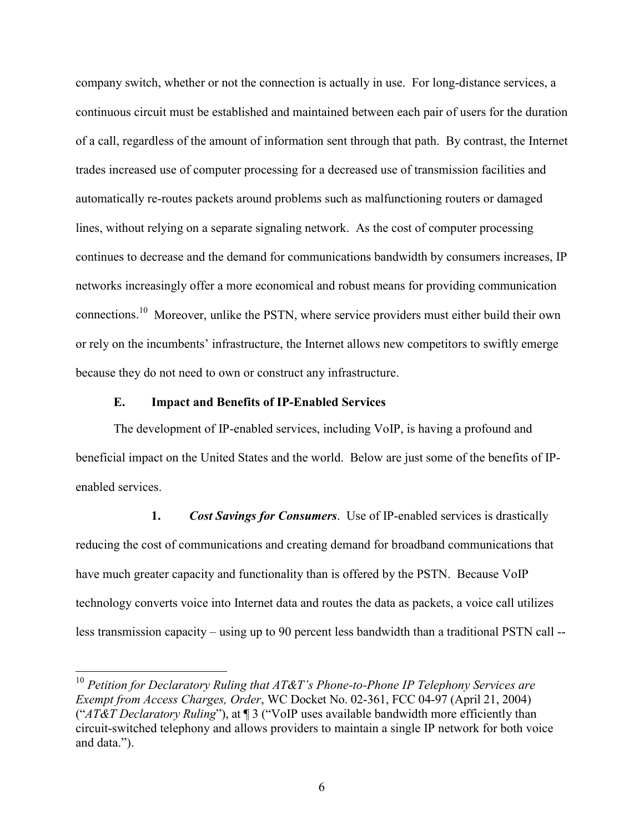company switch, whether or not the connection is actually in use. For long-distance services, a continuous circuit must be established and maintained between each pair of users for the duration of a call, regardless of the amount of information sent through that path. By contrast, the Internet trades increased use of computer processing for a decreased use of transmission facilities and automatically re-routes packets around problems such as malfunctioning routers or damaged lines, without relying on a separate signaling network. As the cost of computer processing continues to decrease and the demand for communications bandwidth by consumers increases, IP networks increasingly offer a more economical and robust means for providing communication connections.10 Moreover, unlike the PSTN, where service providers must either build their own or rely on the incumbents' infrastructure, the Internet allows new competitors to swiftly emerge because they do not need to own or construct any infrastructure.

#### **E. Impact and Benefits of IP-Enabled Services**

<u>.</u>

 The development of IP-enabled services, including VoIP, is having a profound and beneficial impact on the United States and the world. Below are just some of the benefits of IPenabled services.

 **1.** *Cost Savings for Consumers*. Use of IP-enabled services is drastically reducing the cost of communications and creating demand for broadband communications that have much greater capacity and functionality than is offered by the PSTN. Because VoIP technology converts voice into Internet data and routes the data as packets, a voice call utilizes less transmission capacity – using up to 90 percent less bandwidth than a traditional PSTN call --

<sup>10</sup> *Petition for Declaratory Ruling that AT&T's Phone-to-Phone IP Telephony Services are Exempt from Access Charges, Order*, WC Docket No. 02-361, FCC 04-97 (April 21, 2004) ("*AT&T Declaratory Ruling*"), at ¶ 3 ("VoIP uses available bandwidth more efficiently than circuit-switched telephony and allows providers to maintain a single IP network for both voice and data.").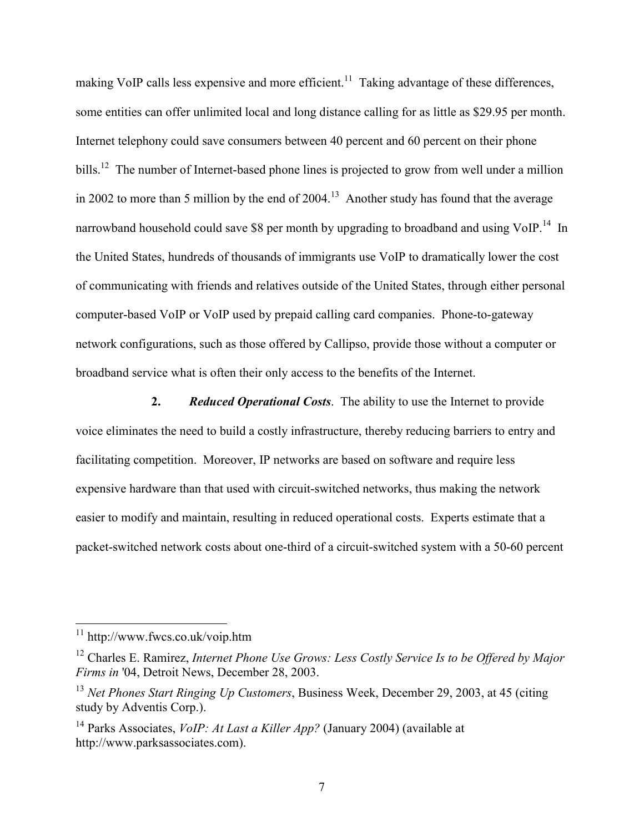making VoIP calls less expensive and more efficient.<sup>11</sup> Taking advantage of these differences, some entities can offer unlimited local and long distance calling for as little as \$29.95 per month. Internet telephony could save consumers between 40 percent and 60 percent on their phone bills.<sup>12</sup> The number of Internet-based phone lines is projected to grow from well under a million in 2002 to more than 5 million by the end of  $2004$ <sup>13</sup> Another study has found that the average narrowband household could save \$8 per month by upgrading to broadband and using VoIP.<sup>14</sup> In the United States, hundreds of thousands of immigrants use VoIP to dramatically lower the cost of communicating with friends and relatives outside of the United States, through either personal computer-based VoIP or VoIP used by prepaid calling card companies. Phone-to-gateway network configurations, such as those offered by Callipso, provide those without a computer or broadband service what is often their only access to the benefits of the Internet.

 **2.** *Reduced Operational Costs*. The ability to use the Internet to provide voice eliminates the need to build a costly infrastructure, thereby reducing barriers to entry and facilitating competition. Moreover, IP networks are based on software and require less expensive hardware than that used with circuit-switched networks, thus making the network easier to modify and maintain, resulting in reduced operational costs. Experts estimate that a packet-switched network costs about one-third of a circuit-switched system with a 50-60 percent

1

<sup>11</sup> http://www.fwcs.co.uk/voip.htm

<sup>12</sup> Charles E. Ramirez, *Internet Phone Use Grows: Less Costly Service Is to be Offered by Major Firms in* '04, Detroit News, December 28, 2003.

<sup>13</sup> *Net Phones Start Ringing Up Customers*, Business Week, December 29, 2003, at 45 (citing study by Adventis Corp.).

<sup>14</sup> Parks Associates, *VoIP: At Last a Killer App?* (January 2004) (available at http://www.parksassociates.com).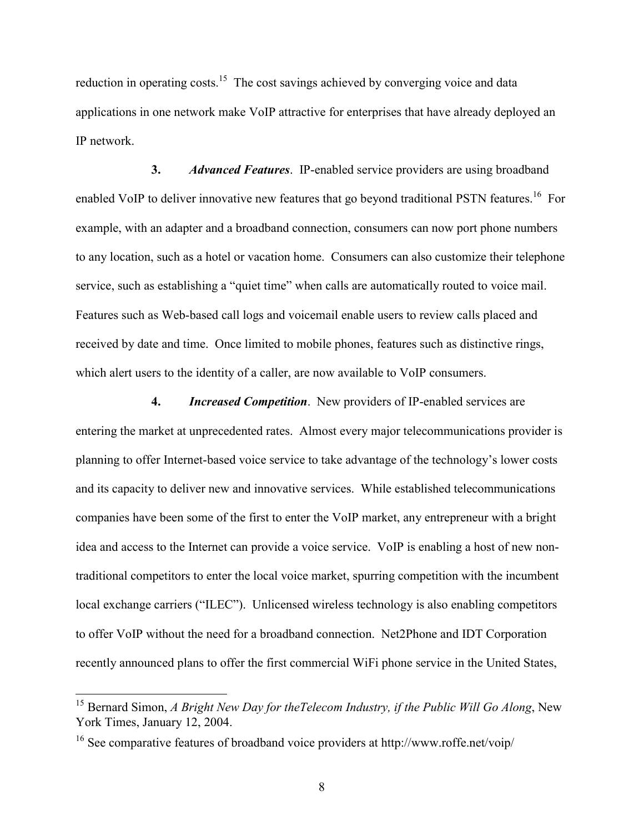reduction in operating costs.<sup>15</sup> The cost savings achieved by converging voice and data applications in one network make VoIP attractive for enterprises that have already deployed an IP network.

 **3.** *Advanced Features*. IP-enabled service providers are using broadband enabled VoIP to deliver innovative new features that go beyond traditional PSTN features.<sup>16</sup> For example, with an adapter and a broadband connection, consumers can now port phone numbers to any location, such as a hotel or vacation home. Consumers can also customize their telephone service, such as establishing a "quiet time" when calls are automatically routed to voice mail. Features such as Web-based call logs and voicemail enable users to review calls placed and received by date and time. Once limited to mobile phones, features such as distinctive rings, which alert users to the identity of a caller, are now available to VoIP consumers.

 **4.** *Increased Competition*. New providers of IP-enabled services are entering the market at unprecedented rates. Almost every major telecommunications provider is planning to offer Internet-based voice service to take advantage of the technology's lower costs and its capacity to deliver new and innovative services. While established telecommunications companies have been some of the first to enter the VoIP market, any entrepreneur with a bright idea and access to the Internet can provide a voice service. VoIP is enabling a host of new nontraditional competitors to enter the local voice market, spurring competition with the incumbent local exchange carriers ("ILEC"). Unlicensed wireless technology is also enabling competitors to offer VoIP without the need for a broadband connection. Net2Phone and IDT Corporation recently announced plans to offer the first commercial WiFi phone service in the United States,

1

<sup>15</sup> Bernard Simon, *A Bright New Day for theTelecom Industry, if the Public Will Go Along*, New York Times, January 12, 2004.

<sup>16</sup> See comparative features of broadband voice providers at http://www.roffe.net/voip/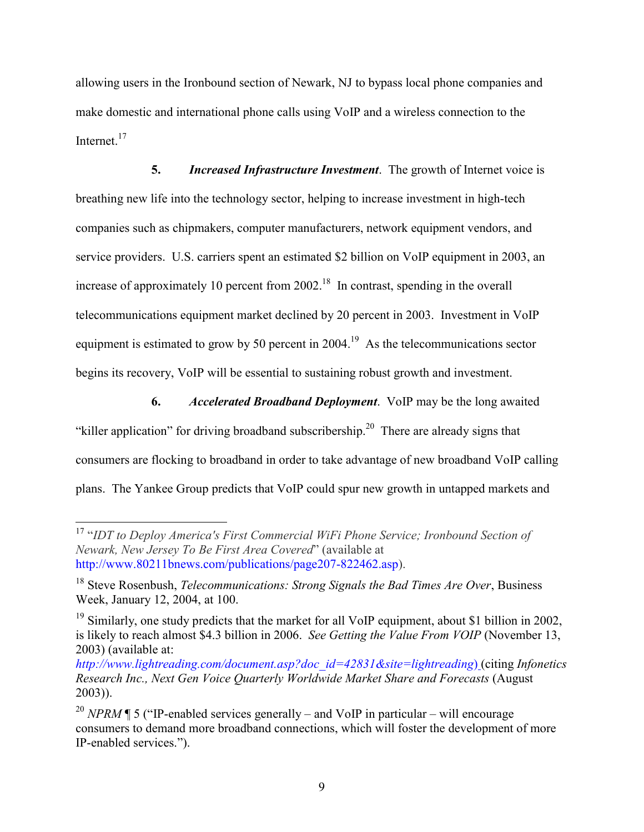allowing users in the Ironbound section of Newark, NJ to bypass local phone companies and make domestic and international phone calls using VoIP and a wireless connection to the Internet<sup>17</sup>

 **5.** *Increased Infrastructure Investment*. The growth of Internet voice is breathing new life into the technology sector, helping to increase investment in high-tech companies such as chipmakers, computer manufacturers, network equipment vendors, and service providers. U.S. carriers spent an estimated \$2 billion on VoIP equipment in 2003, an increase of approximately 10 percent from  $2002<sup>18</sup>$  In contrast, spending in the overall telecommunications equipment market declined by 20 percent in 2003. Investment in VoIP equipment is estimated to grow by 50 percent in  $2004<sup>19</sup>$  As the telecommunications sector begins its recovery, VoIP will be essential to sustaining robust growth and investment.

 **6.** *Accelerated Broadband Deployment*. VoIP may be the long awaited "killer application" for driving broadband subscribership.<sup>20</sup> There are already signs that consumers are flocking to broadband in order to take advantage of new broadband VoIP calling plans. The Yankee Group predicts that VoIP could spur new growth in untapped markets and

<sup>17</sup> "*IDT to Deploy America's First Commercial WiFi Phone Service; Ironbound Section of Newark, New Jersey To Be First Area Covered*" (available at http://www.80211bnews.com/publications/page207-822462.asp).

<sup>18</sup> Steve Rosenbush, *Telecommunications: Strong Signals the Bad Times Are Over*, Business Week, January 12, 2004, at 100.

<sup>&</sup>lt;sup>19</sup> Similarly, one study predicts that the market for all VoIP equipment, about \$1 billion in 2002, is likely to reach almost \$4.3 billion in 2006. *See Getting the Value From VOIP* (November 13, 2003) (available at:

*http://www.lightreading.com/document.asp?doc\_id=42831&site=lightreading*) (citing *Infonetics Research Inc., Next Gen Voice Quarterly Worldwide Market Share and Forecasts* (August 2003)).

<sup>&</sup>lt;sup>20</sup> *NPRM* ¶ 5 ("IP-enabled services generally – and VoIP in particular – will encourage consumers to demand more broadband connections, which will foster the development of more IP-enabled services.").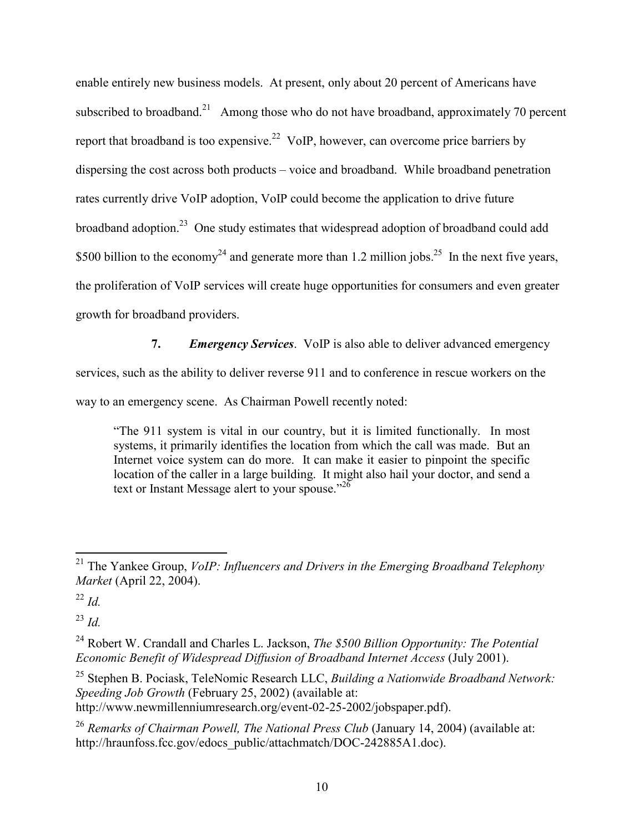enable entirely new business models. At present, only about 20 percent of Americans have subscribed to broadband.<sup>21</sup> Among those who do not have broadband, approximately 70 percent report that broadband is too expensive.<sup>22</sup> VoIP, however, can overcome price barriers by dispersing the cost across both products – voice and broadband. While broadband penetration rates currently drive VoIP adoption, VoIP could become the application to drive future broadband adoption.23 One study estimates that widespread adoption of broadband could add \$500 billion to the economy<sup>24</sup> and generate more than 1.2 million jobs.<sup>25</sup> In the next five years, the proliferation of VoIP services will create huge opportunities for consumers and even greater growth for broadband providers.

**7.** *Emergency Services.* VoIP is also able to deliver advanced emergency services, such as the ability to deliver reverse 911 and to conference in rescue workers on the way to an emergency scene. As Chairman Powell recently noted:

"The 911 system is vital in our country, but it is limited functionally. In most systems, it primarily identifies the location from which the call was made. But an Internet voice system can do more. It can make it easier to pinpoint the specific location of the caller in a large building. It might also hail your doctor, and send a text or Instant Message alert to your spouse."<sup>26</sup>

1

<sup>23</sup> *Id.*

25 Stephen B. Pociask, TeleNomic Research LLC, *Building a Nationwide Broadband Network: Speeding Job Growth* (February 25, 2002) (available at: http://www.newmillenniumresearch.org/event-02-25-2002/jobspaper.pdf).

<sup>21</sup> The Yankee Group, *VoIP: Influencers and Drivers in the Emerging Broadband Telephony Market* (April 22, 2004).

 $^{22}$  *Id.* 

<sup>24</sup> Robert W. Crandall and Charles L. Jackson, *The \$500 Billion Opportunity: The Potential Economic Benefit of Widespread Diffusion of Broadband Internet Access* (July 2001).

<sup>26</sup> *Remarks of Chairman Powell, The National Press Club* (January 14, 2004) (available at: http://hraunfoss.fcc.gov/edocs\_public/attachmatch/DOC-242885A1.doc).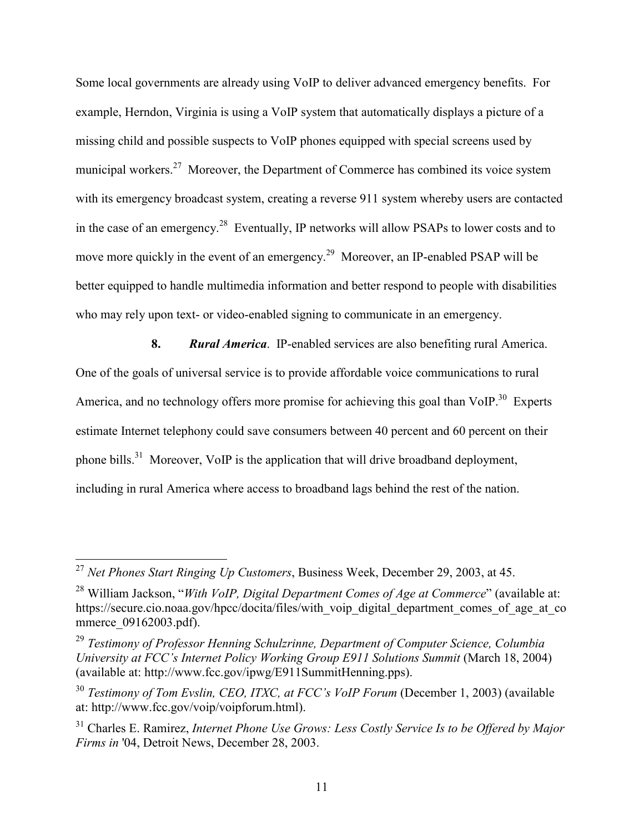Some local governments are already using VoIP to deliver advanced emergency benefits. For example, Herndon, Virginia is using a VoIP system that automatically displays a picture of a missing child and possible suspects to VoIP phones equipped with special screens used by municipal workers.<sup>27</sup> Moreover, the Department of Commerce has combined its voice system with its emergency broadcast system, creating a reverse 911 system whereby users are contacted in the case of an emergency.<sup>28</sup> Eventually, IP networks will allow PSAPs to lower costs and to move more quickly in the event of an emergency.<sup>29</sup> Moreover, an IP-enabled PSAP will be better equipped to handle multimedia information and better respond to people with disabilities who may rely upon text- or video-enabled signing to communicate in an emergency.

 **8.** *Rural America*. IP-enabled services are also benefiting rural America. One of the goals of universal service is to provide affordable voice communications to rural America, and no technology offers more promise for achieving this goal than VoIP.<sup>30</sup> Experts estimate Internet telephony could save consumers between 40 percent and 60 percent on their phone bills.<sup>31</sup> Moreover, VoIP is the application that will drive broadband deployment, including in rural America where access to broadband lags behind the rest of the nation.

1

<sup>27</sup> *Net Phones Start Ringing Up Customers*, Business Week, December 29, 2003, at 45.

<sup>28</sup> William Jackson, "*With VoIP, Digital Department Comes of Age at Commerce*" (available at: https://secure.cio.noaa.gov/hpcc/docita/files/with\_voip\_digital\_department\_comes\_of\_age\_at\_co mmerce 09162003.pdf).

<sup>29</sup> *Testimony of Professor Henning Schulzrinne, Department of Computer Science, Columbia University at FCC's Internet Policy Working Group E911 Solutions Summit* (March 18, 2004) (available at: http://www.fcc.gov/ipwg/E911SummitHenning.pps).

<sup>30</sup> *Testimony of Tom Evslin, CEO, ITXC, at FCC's VoIP Forum* (December 1, 2003) (available at: http://www.fcc.gov/voip/voipforum.html).

<sup>31</sup> Charles E. Ramirez, *Internet Phone Use Grows: Less Costly Service Is to be Offered by Major Firms in* '04, Detroit News, December 28, 2003.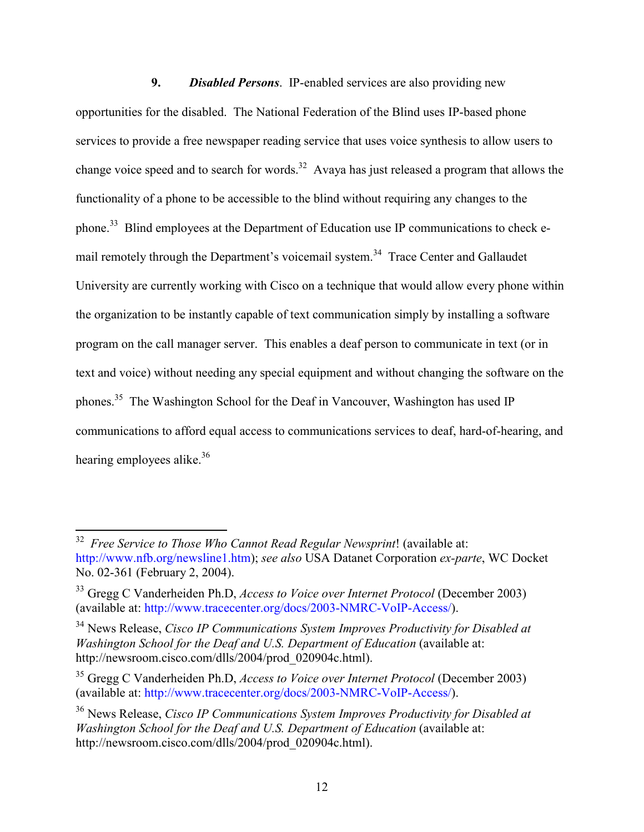**9.** *Disabled Persons*. IP-enabled services are also providing new opportunities for the disabled. The National Federation of the Blind uses IP-based phone services to provide a free newspaper reading service that uses voice synthesis to allow users to change voice speed and to search for words.<sup>32</sup> Avaya has just released a program that allows the functionality of a phone to be accessible to the blind without requiring any changes to the phone.33 Blind employees at the Department of Education use IP communications to check email remotely through the Department's voicemail system.<sup>34</sup> Trace Center and Gallaudet University are currently working with Cisco on a technique that would allow every phone within the organization to be instantly capable of text communication simply by installing a software program on the call manager server. This enables a deaf person to communicate in text (or in text and voice) without needing any special equipment and without changing the software on the phones.35 The Washington School for the Deaf in Vancouver, Washington has used IP communications to afford equal access to communications services to deaf, hard-of-hearing, and hearing employees alike. $36$ 

<sup>32</sup> *Free Service to Those Who Cannot Read Regular Newsprint*! (available at: http://www.nfb.org/newsline1.htm); *see also* USA Datanet Corporation *ex-parte*, WC Docket No. 02-361 (February 2, 2004).

<sup>33</sup> Gregg C Vanderheiden Ph.D, *Access to Voice over Internet Protocol* (December 2003) (available at: http://www.tracecenter.org/docs/2003-NMRC-VoIP-Access/).

<sup>34</sup> News Release, *Cisco IP Communications System Improves Productivity for Disabled at Washington School for the Deaf and U.S. Department of Education* (available at: http://newsroom.cisco.com/dlls/2004/prod\_020904c.html).

<sup>35</sup> Gregg C Vanderheiden Ph.D, *Access to Voice over Internet Protocol* (December 2003) (available at: http://www.tracecenter.org/docs/2003-NMRC-VoIP-Access/).

<sup>36</sup> News Release, *Cisco IP Communications System Improves Productivity for Disabled at Washington School for the Deaf and U.S. Department of Education* (available at: http://newsroom.cisco.com/dlls/2004/prod\_020904c.html).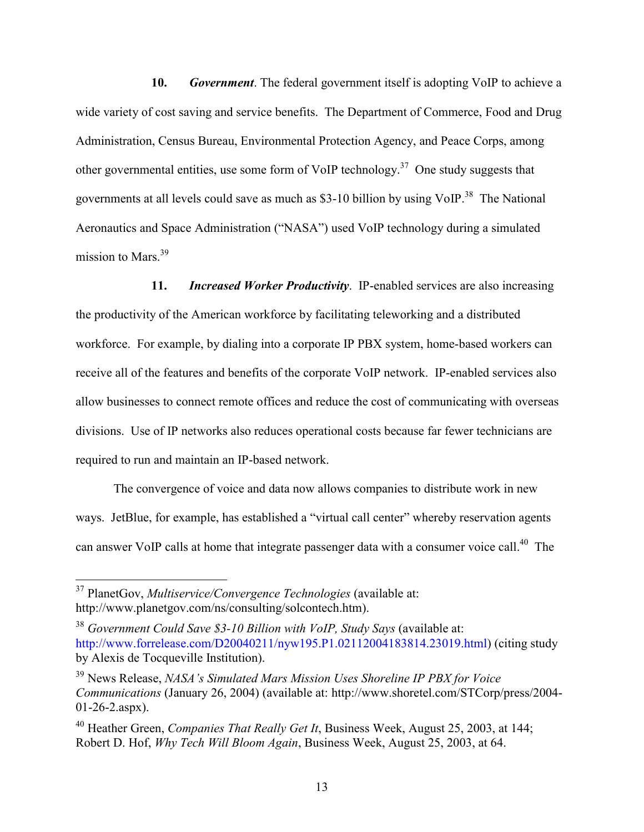**10.** *Government*. The federal government itself is adopting VoIP to achieve a wide variety of cost saving and service benefits. The Department of Commerce, Food and Drug Administration, Census Bureau, Environmental Protection Agency, and Peace Corps, among other governmental entities, use some form of VoIP technology.<sup>37</sup> One study suggests that governments at all levels could save as much as  $$3-10$  billion by using VoIP.<sup>38</sup> The National Aeronautics and Space Administration ("NASA") used VoIP technology during a simulated mission to Mars.<sup>39</sup>

 **11.** *Increased Worker Productivity*. IP-enabled services are also increasing the productivity of the American workforce by facilitating teleworking and a distributed workforce. For example, by dialing into a corporate IP PBX system, home-based workers can receive all of the features and benefits of the corporate VoIP network. IP-enabled services also allow businesses to connect remote offices and reduce the cost of communicating with overseas divisions. Use of IP networks also reduces operational costs because far fewer technicians are required to run and maintain an IP-based network.

 The convergence of voice and data now allows companies to distribute work in new ways. JetBlue, for example, has established a "virtual call center" whereby reservation agents can answer VoIP calls at home that integrate passenger data with a consumer voice call.<sup>40</sup> The

<u>.</u>

<sup>37</sup> PlanetGov, *Multiservice/Convergence Technologies* (available at: http://www.planetgov.com/ns/consulting/solcontech.htm).

<sup>38</sup> *Government Could Save \$3-10 Billion with VoIP, Study Says* (available at: http://www.forrelease.com/D20040211/nyw195.P1.02112004183814.23019.html) (citing study by Alexis de Tocqueville Institution).

<sup>39</sup> News Release, *NASA's Simulated Mars Mission Uses Shoreline IP PBX for Voice Communications* (January 26, 2004) (available at: http://www.shoretel.com/STCorp/press/2004- 01-26-2.aspx).

<sup>40</sup> Heather Green, *Companies That Really Get It*, Business Week, August 25, 2003, at 144; Robert D. Hof, *Why Tech Will Bloom Again*, Business Week, August 25, 2003, at 64.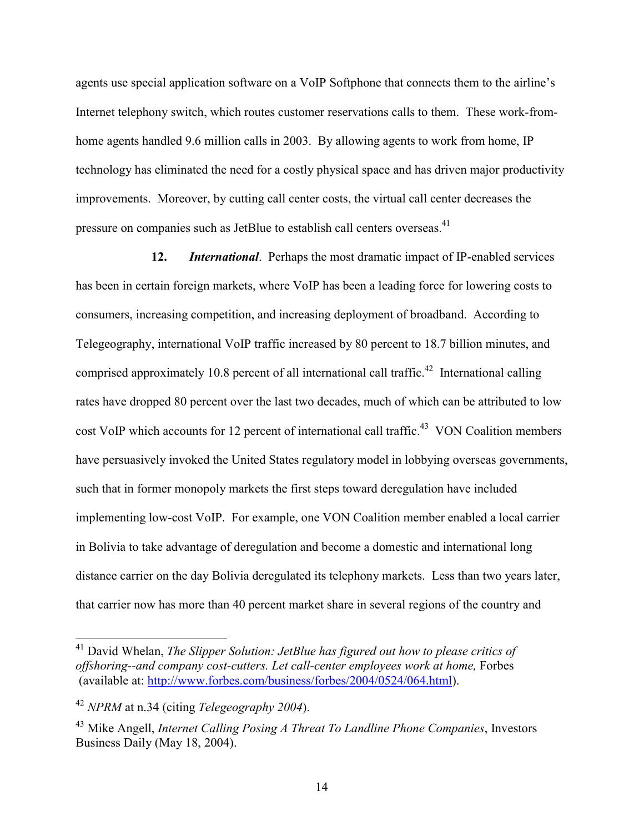agents use special application software on a VoIP Softphone that connects them to the airline's Internet telephony switch, which routes customer reservations calls to them. These work-fromhome agents handled 9.6 million calls in 2003. By allowing agents to work from home, IP technology has eliminated the need for a costly physical space and has driven major productivity improvements. Moreover, by cutting call center costs, the virtual call center decreases the pressure on companies such as JetBlue to establish call centers overseas.<sup>41</sup>

 **12.** *International*. Perhaps the most dramatic impact of IP-enabled services has been in certain foreign markets, where VoIP has been a leading force for lowering costs to consumers, increasing competition, and increasing deployment of broadband. According to Telegeography, international VoIP traffic increased by 80 percent to 18.7 billion minutes, and comprised approximately 10.8 percent of all international call traffic.<sup>42</sup> International calling rates have dropped 80 percent over the last two decades, much of which can be attributed to low cost VoIP which accounts for 12 percent of international call traffic.<sup>43</sup> VON Coalition members have persuasively invoked the United States regulatory model in lobbying overseas governments, such that in former monopoly markets the first steps toward deregulation have included implementing low-cost VoIP. For example, one VON Coalition member enabled a local carrier in Bolivia to take advantage of deregulation and become a domestic and international long distance carrier on the day Bolivia deregulated its telephony markets. Less than two years later, that carrier now has more than 40 percent market share in several regions of the country and

<sup>41</sup> David Whelan, *The Slipper Solution: JetBlue has figured out how to please critics of offshoring--and company cost-cutters. Let call-center employees work at home,* Forbes (available at: http://www.forbes.com/business/forbes/2004/0524/064.html).

<sup>42</sup> *NPRM* at n.34 (citing *Telegeography 2004*).

<sup>43</sup> Mike Angell, *Internet Calling Posing A Threat To Landline Phone Companies*, Investors Business Daily (May 18, 2004).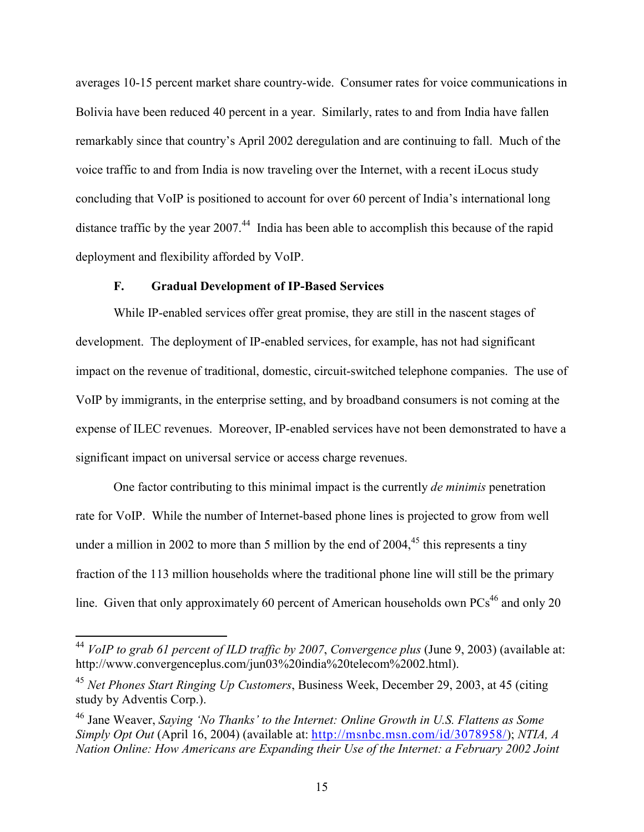averages 10-15 percent market share country-wide. Consumer rates for voice communications in Bolivia have been reduced 40 percent in a year. Similarly, rates to and from India have fallen remarkably since that country's April 2002 deregulation and are continuing to fall. Much of the voice traffic to and from India is now traveling over the Internet, with a recent iLocus study concluding that VoIP is positioned to account for over 60 percent of India's international long distance traffic by the year  $2007<sup>44</sup>$  India has been able to accomplish this because of the rapid deployment and flexibility afforded by VoIP.

### **F. Gradual Development of IP-Based Services**

1

 While IP-enabled services offer great promise, they are still in the nascent stages of development. The deployment of IP-enabled services, for example, has not had significant impact on the revenue of traditional, domestic, circuit-switched telephone companies. The use of VoIP by immigrants, in the enterprise setting, and by broadband consumers is not coming at the expense of ILEC revenues. Moreover, IP-enabled services have not been demonstrated to have a significant impact on universal service or access charge revenues.

 One factor contributing to this minimal impact is the currently *de minimis* penetration rate for VoIP. While the number of Internet-based phone lines is projected to grow from well under a million in 2002 to more than 5 million by the end of  $2004<sup>45</sup>$  this represents a tiny fraction of the 113 million households where the traditional phone line will still be the primary line. Given that only approximately 60 percent of American households own  $PCs^{46}$  and only 20

<sup>44</sup> *VoIP to grab 61 percent of ILD traffic by 2007*, *Convergence plus* (June 9, 2003) (available at: http://www.convergenceplus.com/jun03%20india%20telecom%2002.html).

<sup>45</sup> *Net Phones Start Ringing Up Customers*, Business Week, December 29, 2003, at 45 (citing study by Adventis Corp.).

<sup>46</sup> Jane Weaver, *Saying 'No Thanks' to the Internet: Online Growth in U.S. Flattens as Some Simply Opt Out* (April 16, 2004) (available at: http://msnbc.msn.com/id/3078958/); *NTIA, A Nation Online: How Americans are Expanding their Use of the Internet: a February 2002 Joint*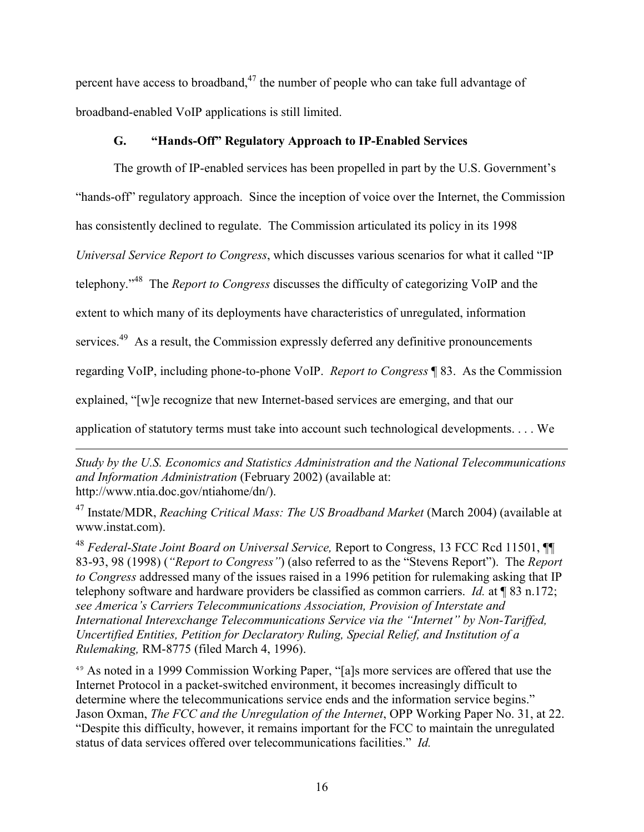percent have access to broadband, $47$  the number of people who can take full advantage of broadband-enabled VoIP applications is still limited.

### **G. "Hands-Off" Regulatory Approach to IP-Enabled Services**

The growth of IP-enabled services has been propelled in part by the U.S. Government's

"hands-off" regulatory approach. Since the inception of voice over the Internet, the Commission

has consistently declined to regulate. The Commission articulated its policy in its 1998

*Universal Service Report to Congress*, which discusses various scenarios for what it called "IP

telephony."48 The *Report to Congress* discusses the difficulty of categorizing VoIP and the

extent to which many of its deployments have characteristics of unregulated, information

services.<sup>49</sup> As a result, the Commission expressly deferred any definitive pronouncements

regarding VoIP, including phone-to-phone VoIP. *Report to Congress* ¶ 83. As the Commission

explained, "[w]e recognize that new Internet-based services are emerging, and that our

 $\overline{a}$ 

application of statutory terms must take into account such technological developments. . . . We

*Study by the U.S. Economics and Statistics Administration and the National Telecommunications and Information Administration* (February 2002) (available at: http://www.ntia.doc.gov/ntiahome/dn/).

47 Instate/MDR, *Reaching Critical Mass: The US Broadband Market* (March 2004) (available at www.instat.com).

<sup>48</sup> *Federal-State Joint Board on Universal Service,* Report to Congress, 13 FCC Rcd 11501, ¶¶ 83-93, 98 (1998) (*"Report to Congress"*) (also referred to as the "Stevens Report"). The *Report to Congress* addressed many of the issues raised in a 1996 petition for rulemaking asking that IP telephony software and hardware providers be classified as common carriers. *Id.* at ¶ 83 n.172; *see America's Carriers Telecommunications Association, Provision of Interstate and International Interexchange Telecommunications Service via the "Internet" by Non-Tariffed, Uncertified Entities, Petition for Declaratory Ruling, Special Relief, and Institution of a Rulemaking,* RM-8775 (filed March 4, 1996).

<sup>49</sup> As noted in a 1999 Commission Working Paper, "[a]s more services are offered that use the Internet Protocol in a packet-switched environment, it becomes increasingly difficult to determine where the telecommunications service ends and the information service begins." Jason Oxman, *The FCC and the Unregulation of the Internet*, OPP Working Paper No. 31, at 22. "Despite this difficulty, however, it remains important for the FCC to maintain the unregulated status of data services offered over telecommunications facilities." *Id.*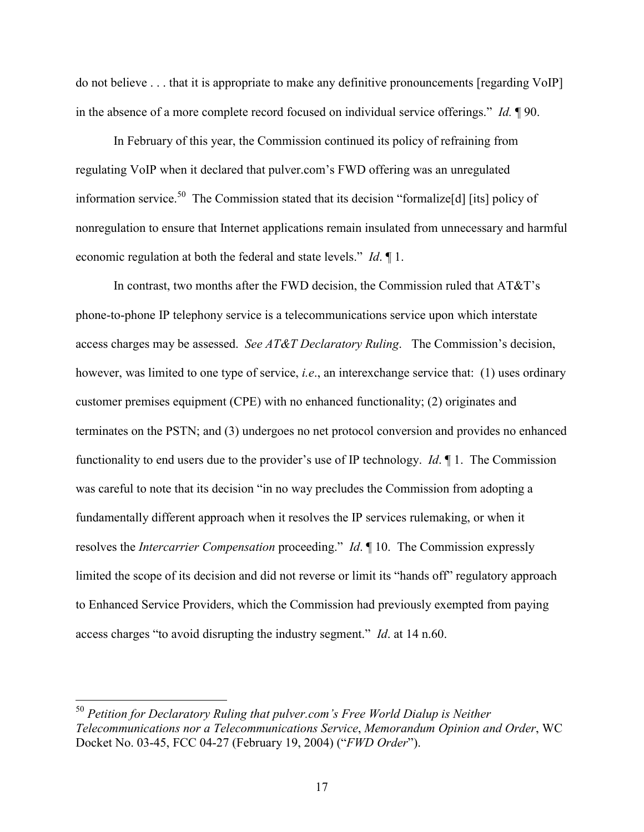do not believe . . . that it is appropriate to make any definitive pronouncements [regarding VoIP] in the absence of a more complete record focused on individual service offerings." *Id.* ¶ 90.

 In February of this year, the Commission continued its policy of refraining from regulating VoIP when it declared that pulver.com's FWD offering was an unregulated information service.<sup>50</sup> The Commission stated that its decision "formalize<sup>[d]</sup> [its] policy of nonregulation to ensure that Internet applications remain insulated from unnecessary and harmful economic regulation at both the federal and state levels." *Id*. ¶ 1.

 In contrast, two months after the FWD decision, the Commission ruled that AT&T's phone-to-phone IP telephony service is a telecommunications service upon which interstate access charges may be assessed. *See AT&T Declaratory Ruling*. The Commission's decision, however, was limited to one type of service, *i.e*., an interexchange service that: (1) uses ordinary customer premises equipment (CPE) with no enhanced functionality; (2) originates and terminates on the PSTN; and (3) undergoes no net protocol conversion and provides no enhanced functionality to end users due to the provider's use of IP technology. *Id*. ¶ 1. The Commission was careful to note that its decision "in no way precludes the Commission from adopting a fundamentally different approach when it resolves the IP services rulemaking, or when it resolves the *Intercarrier Compensation* proceeding." *Id*. ¶ 10. The Commission expressly limited the scope of its decision and did not reverse or limit its "hands off" regulatory approach to Enhanced Service Providers, which the Commission had previously exempted from paying access charges "to avoid disrupting the industry segment." *Id*. at 14 n.60.

<sup>50</sup> *Petition for Declaratory Ruling that pulver.com's Free World Dialup is Neither Telecommunications nor a Telecommunications Service*, *Memorandum Opinion and Order*, WC Docket No. 03-45, FCC 04-27 (February 19, 2004) ("*FWD Order*").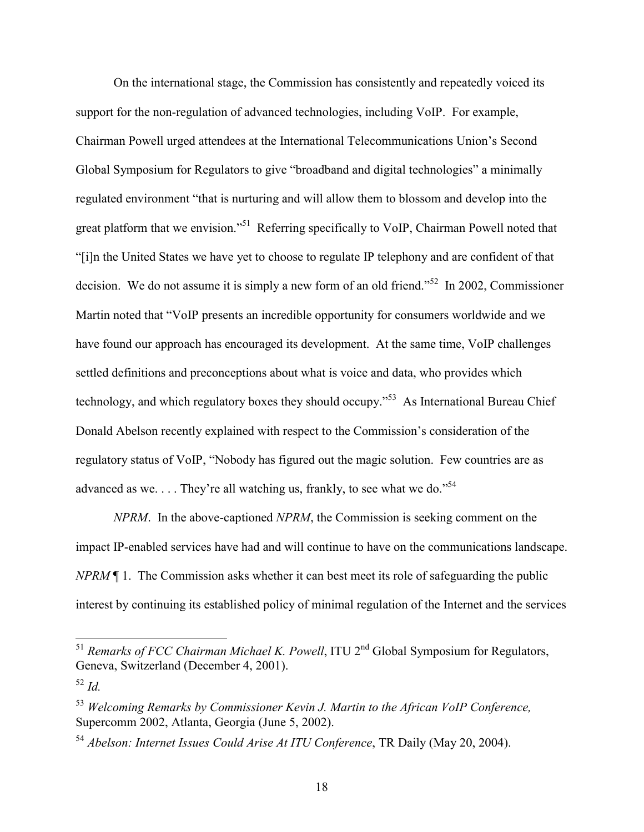On the international stage, the Commission has consistently and repeatedly voiced its support for the non-regulation of advanced technologies, including VoIP. For example, Chairman Powell urged attendees at the International Telecommunications Union's Second Global Symposium for Regulators to give "broadband and digital technologies" a minimally regulated environment "that is nurturing and will allow them to blossom and develop into the great platform that we envision."<sup>51</sup> Referring specifically to VoIP, Chairman Powell noted that "[i]n the United States we have yet to choose to regulate IP telephony and are confident of that decision. We do not assume it is simply a new form of an old friend."<sup>52</sup>In 2002, Commissioner Martin noted that "VoIP presents an incredible opportunity for consumers worldwide and we have found our approach has encouraged its development. At the same time, VoIP challenges settled definitions and preconceptions about what is voice and data, who provides which technology, and which regulatory boxes they should occupy."53 As International Bureau Chief Donald Abelson recently explained with respect to the Commission's consideration of the regulatory status of VoIP, "Nobody has figured out the magic solution. Few countries are as advanced as we.  $\dots$  They're all watching us, frankly, to see what we do."<sup>54</sup>

*NPRM*. In the above-captioned *NPRM*, the Commission is seeking comment on the impact IP-enabled services have had and will continue to have on the communications landscape. *NPRM* ¶ 1. The Commission asks whether it can best meet its role of safeguarding the public interest by continuing its established policy of minimal regulation of the Internet and the services

<sup>51</sup> *Remarks of FCC Chairman Michael K. Powell*, ITU 2<sup>nd</sup> Global Symposium for Regulators, Geneva, Switzerland (December 4, 2001).

1

<sup>52</sup> *Id.* 

<sup>53</sup> *Welcoming Remarks by Commissioner Kevin J. Martin to the African VoIP Conference,* Supercomm 2002, Atlanta, Georgia (June 5, 2002).

<sup>54</sup> *Abelson: Internet Issues Could Arise At ITU Conference*, TR Daily (May 20, 2004).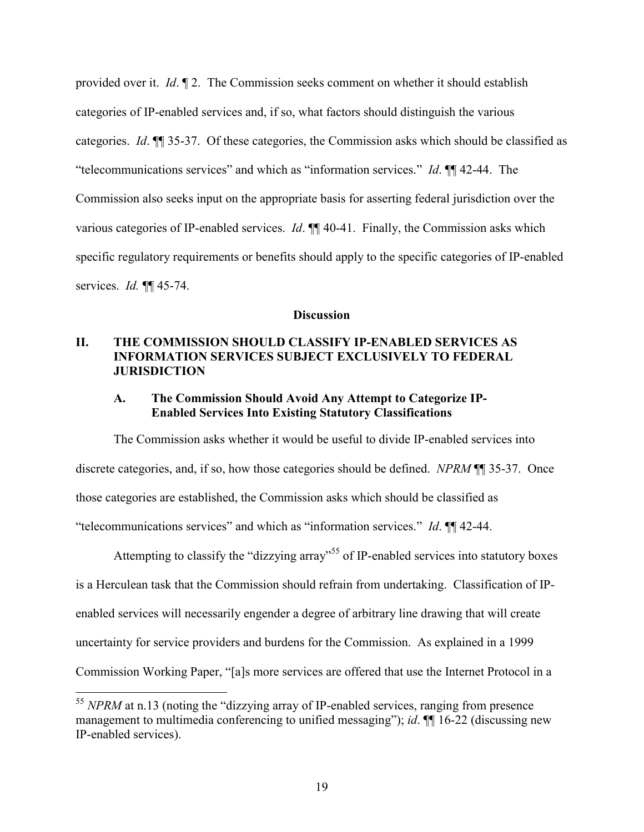provided over it. *Id*. ¶ 2. The Commission seeks comment on whether it should establish categories of IP-enabled services and, if so, what factors should distinguish the various categories. *Id*. ¶¶ 35-37. Of these categories, the Commission asks which should be classified as "telecommunications services" and which as "information services." *Id*. ¶¶ 42-44. The Commission also seeks input on the appropriate basis for asserting federal jurisdiction over the various categories of IP-enabled services. *Id*. ¶¶ 40-41. Finally, the Commission asks which specific regulatory requirements or benefits should apply to the specific categories of IP-enabled services. *Id.* ¶¶ 45-74.

#### **Discussion**

### **II. THE COMMISSION SHOULD CLASSIFY IP-ENABLED SERVICES AS INFORMATION SERVICES SUBJECT EXCLUSIVELY TO FEDERAL JURISDICTION**

#### **A. The Commission Should Avoid Any Attempt to Categorize IP-Enabled Services Into Existing Statutory Classifications**

 The Commission asks whether it would be useful to divide IP-enabled services into discrete categories, and, if so, how those categories should be defined. *NPRM* ¶¶ 35-37. Once those categories are established, the Commission asks which should be classified as "telecommunications services" and which as "information services." *Id*. ¶¶ 42-44.

Attempting to classify the "dizzying array"<sup>55</sup> of IP-enabled services into statutory boxes is a Herculean task that the Commission should refrain from undertaking. Classification of IPenabled services will necessarily engender a degree of arbitrary line drawing that will create uncertainty for service providers and burdens for the Commission. As explained in a 1999 Commission Working Paper, "[a]s more services are offered that use the Internet Protocol in a

<sup>&</sup>lt;sup>55</sup> *NPRM* at n.13 (noting the "dizzying array of IP-enabled services, ranging from presence management to multimedia conferencing to unified messaging"); *id*. ¶¶ 16-22 (discussing new IP-enabled services).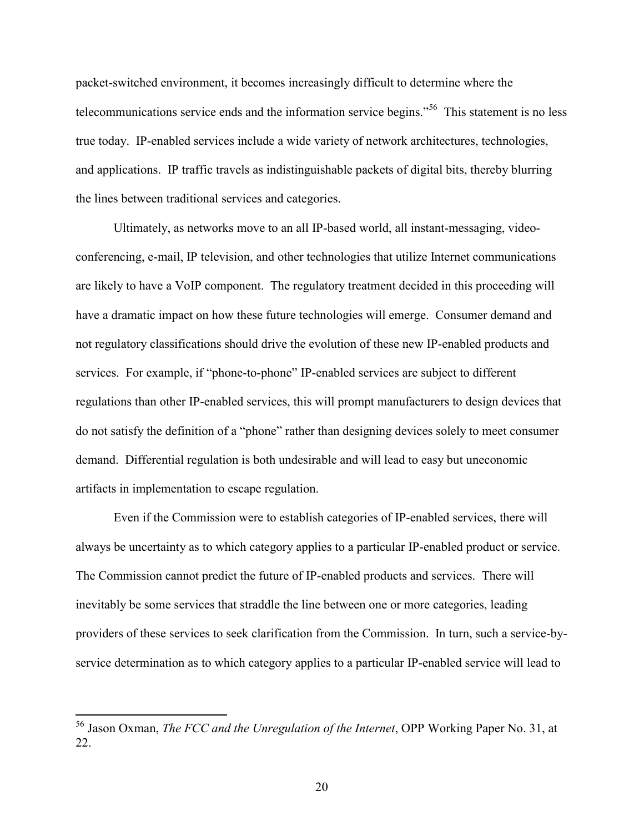packet-switched environment, it becomes increasingly difficult to determine where the telecommunications service ends and the information service begins."56 This statement is no less true today. IP-enabled services include a wide variety of network architectures, technologies, and applications. IP traffic travels as indistinguishable packets of digital bits, thereby blurring the lines between traditional services and categories.

 Ultimately, as networks move to an all IP-based world, all instant-messaging, videoconferencing, e-mail, IP television, and other technologies that utilize Internet communications are likely to have a VoIP component. The regulatory treatment decided in this proceeding will have a dramatic impact on how these future technologies will emerge. Consumer demand and not regulatory classifications should drive the evolution of these new IP-enabled products and services. For example, if "phone-to-phone" IP-enabled services are subject to different regulations than other IP-enabled services, this will prompt manufacturers to design devices that do not satisfy the definition of a "phone" rather than designing devices solely to meet consumer demand. Differential regulation is both undesirable and will lead to easy but uneconomic artifacts in implementation to escape regulation.

 Even if the Commission were to establish categories of IP-enabled services, there will always be uncertainty as to which category applies to a particular IP-enabled product or service. The Commission cannot predict the future of IP-enabled products and services. There will inevitably be some services that straddle the line between one or more categories, leading providers of these services to seek clarification from the Commission. In turn, such a service-byservice determination as to which category applies to a particular IP-enabled service will lead to

<sup>56</sup> Jason Oxman, *The FCC and the Unregulation of the Internet*, OPP Working Paper No. 31, at 22.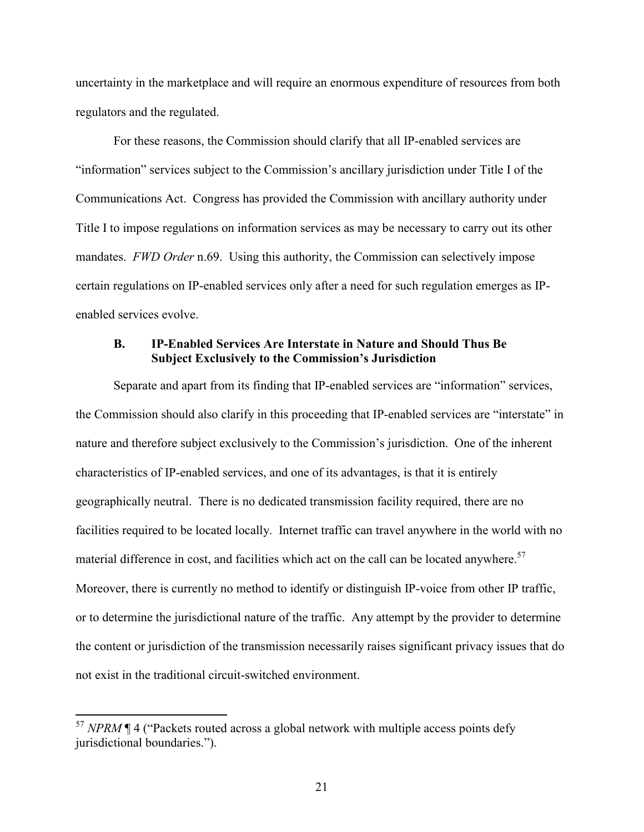uncertainty in the marketplace and will require an enormous expenditure of resources from both regulators and the regulated.

 For these reasons, the Commission should clarify that all IP-enabled services are "information" services subject to the Commission's ancillary jurisdiction under Title I of the Communications Act. Congress has provided the Commission with ancillary authority under Title I to impose regulations on information services as may be necessary to carry out its other mandates. *FWD Order* n.69. Using this authority, the Commission can selectively impose certain regulations on IP-enabled services only after a need for such regulation emerges as IPenabled services evolve.

#### **B. IP-Enabled Services Are Interstate in Nature and Should Thus Be Subject Exclusively to the Commission's Jurisdiction**

 Separate and apart from its finding that IP-enabled services are "information" services, the Commission should also clarify in this proceeding that IP-enabled services are "interstate" in nature and therefore subject exclusively to the Commission's jurisdiction. One of the inherent characteristics of IP-enabled services, and one of its advantages, is that it is entirely geographically neutral. There is no dedicated transmission facility required, there are no facilities required to be located locally. Internet traffic can travel anywhere in the world with no material difference in cost, and facilities which act on the call can be located anywhere.<sup>57</sup> Moreover, there is currently no method to identify or distinguish IP-voice from other IP traffic, or to determine the jurisdictional nature of the traffic. Any attempt by the provider to determine the content or jurisdiction of the transmission necessarily raises significant privacy issues that do not exist in the traditional circuit-switched environment.

<sup>&</sup>lt;sup>57</sup> *NPRM* ¶ 4 ("Packets routed across a global network with multiple access points defy jurisdictional boundaries.").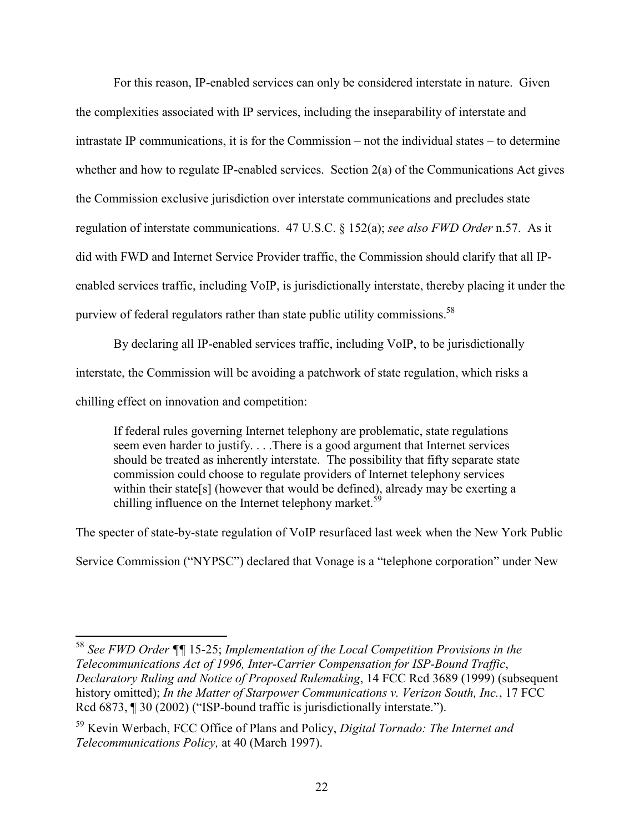For this reason, IP-enabled services can only be considered interstate in nature. Given the complexities associated with IP services, including the inseparability of interstate and intrastate IP communications, it is for the Commission – not the individual states – to determine whether and how to regulate IP-enabled services. Section 2(a) of the Communications Act gives the Commission exclusive jurisdiction over interstate communications and precludes state regulation of interstate communications. 47 U.S.C. § 152(a); *see also FWD Order* n.57. As it did with FWD and Internet Service Provider traffic, the Commission should clarify that all IPenabled services traffic, including VoIP, is jurisdictionally interstate, thereby placing it under the purview of federal regulators rather than state public utility commissions.<sup>58</sup>

 By declaring all IP-enabled services traffic, including VoIP, to be jurisdictionally interstate, the Commission will be avoiding a patchwork of state regulation, which risks a chilling effect on innovation and competition:

If federal rules governing Internet telephony are problematic, state regulations seem even harder to justify. . . .There is a good argument that Internet services should be treated as inherently interstate. The possibility that fifty separate state commission could choose to regulate providers of Internet telephony services within their state[s] (however that would be defined), already may be exerting a chilling influence on the Internet telephony market.<sup>59</sup>

The specter of state-by-state regulation of VoIP resurfaced last week when the New York Public

Service Commission ("NYPSC") declared that Vonage is a "telephone corporation" under New

<sup>58</sup> *See FWD Order ¶¶* 15-25; *Implementation of the Local Competition Provisions in the Telecommunications Act of 1996, Inter-Carrier Compensation for ISP-Bound Traffic*, *Declaratory Ruling and Notice of Proposed Rulemaking*, 14 FCC Rcd 3689 (1999) (subsequent history omitted); *In the Matter of Starpower Communications v. Verizon South, Inc.*, 17 FCC Rcd 6873, ¶ 30 (2002) ("ISP-bound traffic is jurisdictionally interstate.").

<sup>59</sup> Kevin Werbach, FCC Office of Plans and Policy, *Digital Tornado: The Internet and Telecommunications Policy,* at 40 (March 1997).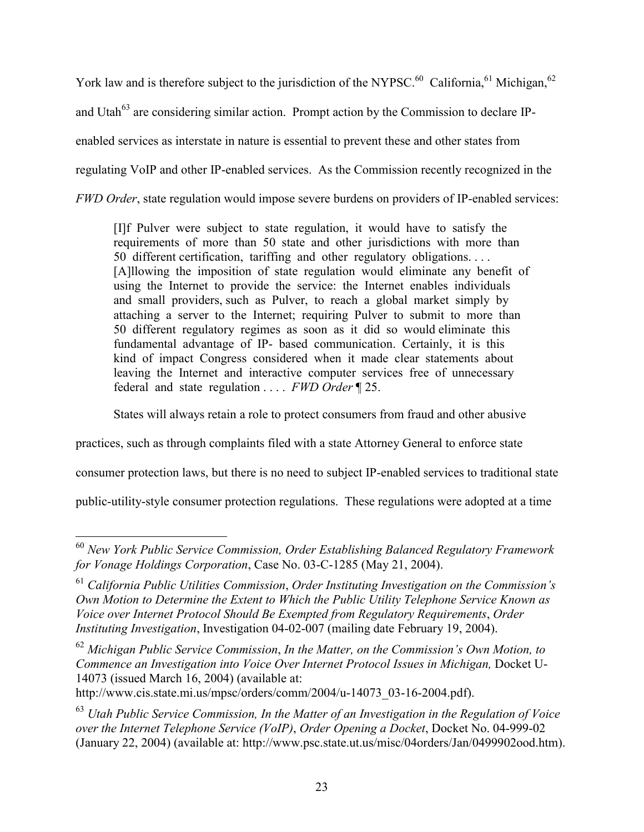York law and is therefore subject to the jurisdiction of the NYPSC.<sup>60</sup> California,<sup>61</sup> Michigan,<sup>62</sup> and Utah $^{63}$  are considering similar action. Prompt action by the Commission to declare IPenabled services as interstate in nature is essential to prevent these and other states from regulating VoIP and other IP-enabled services. As the Commission recently recognized in the *FWD Order*, state regulation would impose severe burdens on providers of IP-enabled services:

[I]f Pulver were subject to state regulation, it would have to satisfy the requirements of more than 50 state and other jurisdictions with more than 50 different certification, tariffing and other regulatory obligations. . . . [A]llowing the imposition of state regulation would eliminate any benefit of using the Internet to provide the service: the Internet enables individuals and small providers, such as Pulver, to reach a global market simply by attaching a server to the Internet; requiring Pulver to submit to more than 50 different regulatory regimes as soon as it did so would eliminate this fundamental advantage of IP- based communication. Certainly, it is this kind of impact Congress considered when it made clear statements about leaving the Internet and interactive computer services free of unnecessary federal and state regulation . . . . *FWD Order* ¶ 25.

States will always retain a role to protect consumers from fraud and other abusive

practices, such as through complaints filed with a state Attorney General to enforce state

consumer protection laws, but there is no need to subject IP-enabled services to traditional state

public-utility-style consumer protection regulations. These regulations were adopted at a time

<sup>60</sup> *New York Public Service Commission, Order Establishing Balanced Regulatory Framework for Vonage Holdings Corporation*, Case No. 03-C-1285 (May 21, 2004).

<sup>61</sup> *California Public Utilities Commission*, *Order Instituting Investigation on the Commission's Own Motion to Determine the Extent to Which the Public Utility Telephone Service Known as Voice over Internet Protocol Should Be Exempted from Regulatory Requirements*, *Order Instituting Investigation*, Investigation 04-02-007 (mailing date February 19, 2004).

<sup>62</sup> *Michigan Public Service Commission*, *In the Matter, on the Commission's Own Motion, to Commence an Investigation into Voice Over Internet Protocol Issues in Michigan,* Docket U-14073 (issued March 16, 2004) (available at:

http://www.cis.state.mi.us/mpsc/orders/comm/2004/u-14073\_03-16-2004.pdf).

<sup>63</sup> *Utah Public Service Commission, In the Matter of an Investigation in the Regulation of Voice over the Internet Telephone Service (VoIP)*, *Order Opening a Docket*, Docket No. 04-999-02 (January 22, 2004) (available at: http://www.psc.state.ut.us/misc/04orders/Jan/0499902ood.htm).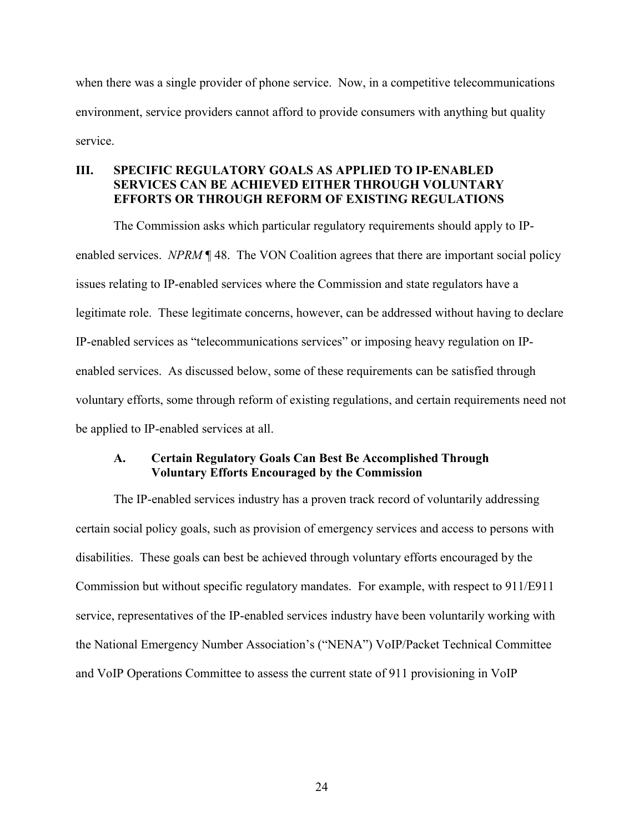when there was a single provider of phone service. Now, in a competitive telecommunications environment, service providers cannot afford to provide consumers with anything but quality service.

## **III. SPECIFIC REGULATORY GOALS AS APPLIED TO IP-ENABLED SERVICES CAN BE ACHIEVED EITHER THROUGH VOLUNTARY EFFORTS OR THROUGH REFORM OF EXISTING REGULATIONS**

 The Commission asks which particular regulatory requirements should apply to IPenabled services. *NPRM* ¶ 48. The VON Coalition agrees that there are important social policy issues relating to IP-enabled services where the Commission and state regulators have a legitimate role. These legitimate concerns, however, can be addressed without having to declare IP-enabled services as "telecommunications services" or imposing heavy regulation on IPenabled services. As discussed below, some of these requirements can be satisfied through voluntary efforts, some through reform of existing regulations, and certain requirements need not be applied to IP-enabled services at all.

### **A. Certain Regulatory Goals Can Best Be Accomplished Through Voluntary Efforts Encouraged by the Commission**

 The IP-enabled services industry has a proven track record of voluntarily addressing certain social policy goals, such as provision of emergency services and access to persons with disabilities. These goals can best be achieved through voluntary efforts encouraged by the Commission but without specific regulatory mandates. For example, with respect to 911/E911 service, representatives of the IP-enabled services industry have been voluntarily working with the National Emergency Number Association's ("NENA") VoIP/Packet Technical Committee and VoIP Operations Committee to assess the current state of 911 provisioning in VoIP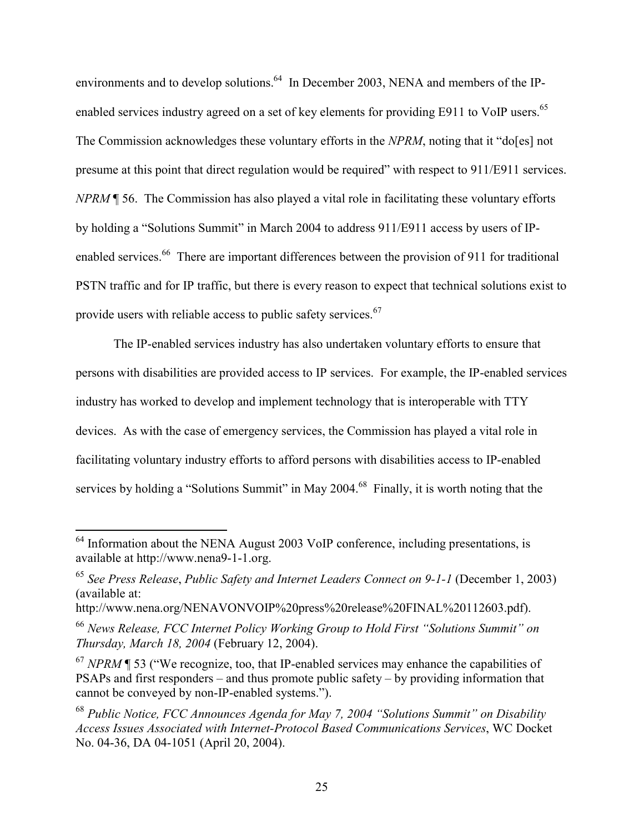environments and to develop solutions.<sup>64</sup> In December 2003, NENA and members of the IPenabled services industry agreed on a set of key elements for providing E911 to VoIP users.<sup>65</sup> The Commission acknowledges these voluntary efforts in the *NPRM*, noting that it "do[es] not presume at this point that direct regulation would be required" with respect to 911/E911 services. *NPRM* ¶ 56. The Commission has also played a vital role in facilitating these voluntary efforts by holding a "Solutions Summit" in March 2004 to address 911/E911 access by users of IPenabled services.<sup>66</sup> There are important differences between the provision of 911 for traditional PSTN traffic and for IP traffic, but there is every reason to expect that technical solutions exist to provide users with reliable access to public safety services.<sup>67</sup>

 The IP-enabled services industry has also undertaken voluntary efforts to ensure that persons with disabilities are provided access to IP services. For example, the IP-enabled services industry has worked to develop and implement technology that is interoperable with TTY devices. As with the case of emergency services, the Commission has played a vital role in facilitating voluntary industry efforts to afford persons with disabilities access to IP-enabled services by holding a "Solutions Summit" in May 2004.<sup>68</sup> Finally, it is worth noting that the

 $64$  Information about the NENA August 2003 VoIP conference, including presentations, is available at http://www.nena9-1-1.org.

<sup>65</sup> *See Press Release*, *Public Safety and Internet Leaders Connect on 9-1-1* (December 1, 2003) (available at:

http://www.nena.org/NENAVONVOIP%20press%20release%20FINAL%20112603.pdf).

<sup>66</sup> *News Release, FCC Internet Policy Working Group to Hold First "Solutions Summit" on Thursday, March 18, 2004* (February 12, 2004).

<sup>67</sup> *NPRM* ¶ 53 ("We recognize, too, that IP-enabled services may enhance the capabilities of PSAPs and first responders – and thus promote public safety – by providing information that cannot be conveyed by non-IP-enabled systems.").

<sup>68</sup> *Public Notice, FCC Announces Agenda for May 7, 2004 "Solutions Summit" on Disability Access Issues Associated with Internet-Protocol Based Communications Services*, WC Docket No. 04-36, DA 04-1051 (April 20, 2004).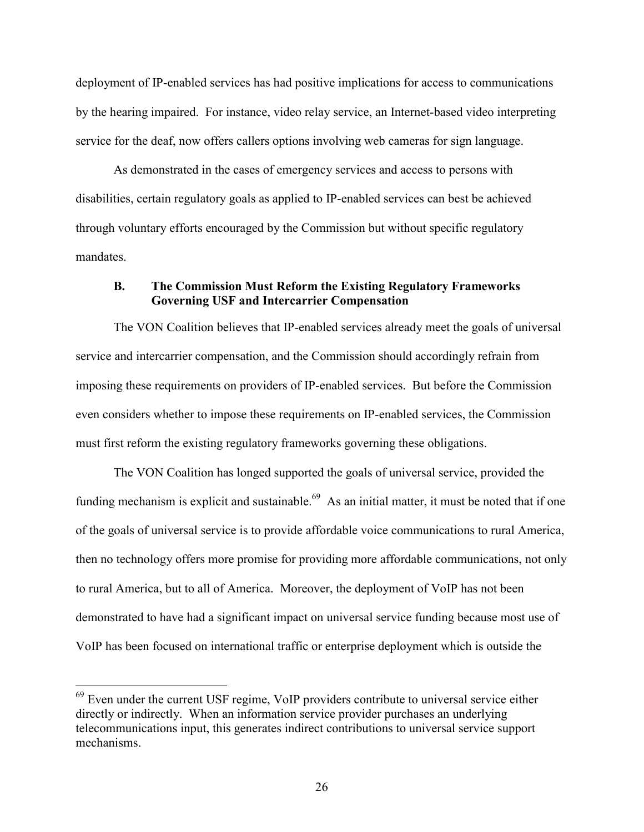deployment of IP-enabled services has had positive implications for access to communications by the hearing impaired. For instance, video relay service, an Internet-based video interpreting service for the deaf, now offers callers options involving web cameras for sign language.

 As demonstrated in the cases of emergency services and access to persons with disabilities, certain regulatory goals as applied to IP-enabled services can best be achieved through voluntary efforts encouraged by the Commission but without specific regulatory mandates.

### **B. The Commission Must Reform the Existing Regulatory Frameworks Governing USF and Intercarrier Compensation**

 The VON Coalition believes that IP-enabled services already meet the goals of universal service and intercarrier compensation, and the Commission should accordingly refrain from imposing these requirements on providers of IP-enabled services. But before the Commission even considers whether to impose these requirements on IP-enabled services, the Commission must first reform the existing regulatory frameworks governing these obligations.

 The VON Coalition has longed supported the goals of universal service, provided the funding mechanism is explicit and sustainable.<sup>69</sup> As an initial matter, it must be noted that if one of the goals of universal service is to provide affordable voice communications to rural America, then no technology offers more promise for providing more affordable communications, not only to rural America, but to all of America. Moreover, the deployment of VoIP has not been demonstrated to have had a significant impact on universal service funding because most use of VoIP has been focused on international traffic or enterprise deployment which is outside the

<sup>&</sup>lt;sup>69</sup> Even under the current USF regime, VoIP providers contribute to universal service either directly or indirectly. When an information service provider purchases an underlying telecommunications input, this generates indirect contributions to universal service support mechanisms.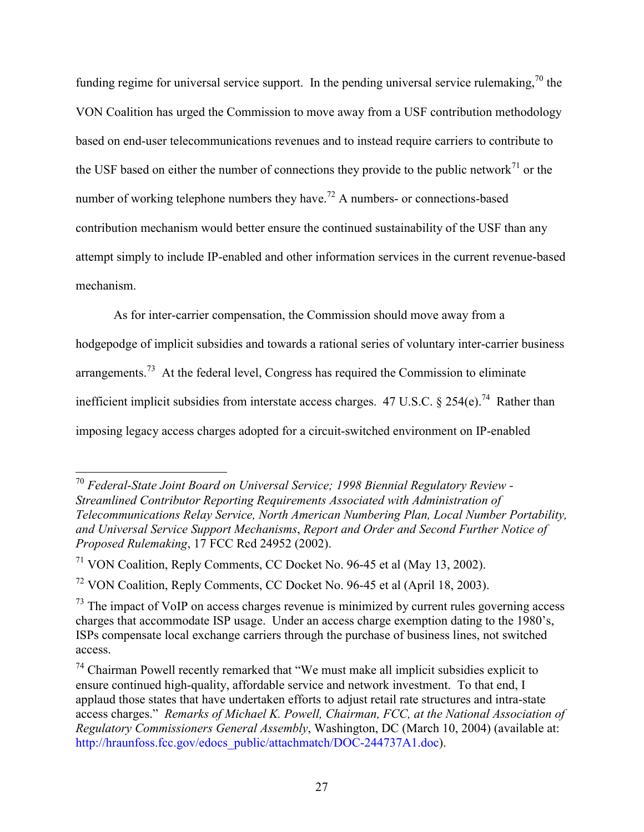funding regime for universal service support. In the pending universal service rulemaking,<sup>70</sup> the VON Coalition has urged the Commission to move away from a USF contribution methodology based on end-user telecommunications revenues and to instead require carriers to contribute to the USF based on either the number of connections they provide to the public network<sup>71</sup> or the number of working telephone numbers they have.<sup>72</sup> A numbers- or connections-based contribution mechanism would better ensure the continued sustainability of the USF than any attempt simply to include IP-enabled and other information services in the current revenue-based mechanism.

As for inter-carrier compensation, the Commission should move away from a

hodgepodge of implicit subsidies and towards a rational series of voluntary inter-carrier business arrangements.<sup>73</sup> At the federal level, Congress has required the Commission to eliminate inefficient implicit subsidies from interstate access charges. 47 U.S.C. § 254(e).<sup>74</sup> Rather than

imposing legacy access charges adopted for a circuit-switched environment on IP-enabled

<sup>70</sup> *Federal-State Joint Board on Universal Service; 1998 Biennial Regulatory Review - Streamlined Contributor Reporting Requirements Associated with Administration of Telecommunications Relay Service, North American Numbering Plan, Local Number Portability, and Universal Service Support Mechanisms*, *Report and Order and Second Further Notice of Proposed Rulemaking*, 17 FCC Rcd 24952 (2002).

<sup>71</sup> VON Coalition, Reply Comments, CC Docket No. 96-45 et al (May 13, 2002).

 $72$  VON Coalition, Reply Comments, CC Docket No. 96-45 et al (April 18, 2003).

 $73$  The impact of VoIP on access charges revenue is minimized by current rules governing access charges that accommodate ISP usage. Under an access charge exemption dating to the 1980's, ISPs compensate local exchange carriers through the purchase of business lines, not switched access.

<sup>74</sup> Chairman Powell recently remarked that "We must make all implicit subsidies explicit to ensure continued high-quality, affordable service and network investment. To that end, I applaud those states that have undertaken efforts to adjust retail rate structures and intra-state access charges." *Remarks of Michael K. Powell, Chairman, FCC, at the National Association of Regulatory Commissioners General Assembly*, Washington, DC (March 10, 2004) (available at: http://hraunfoss.fcc.gov/edocs\_public/attachmatch/DOC-244737A1.doc).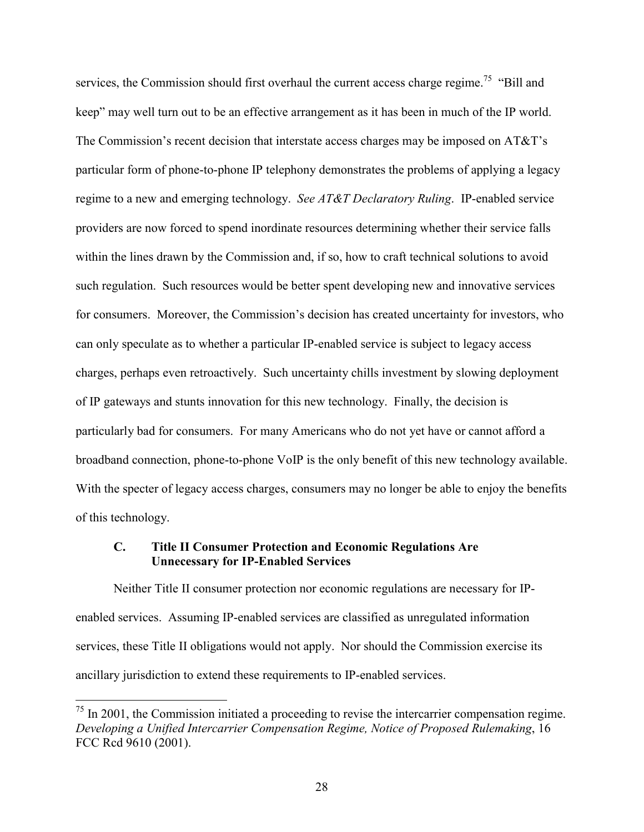services, the Commission should first overhaul the current access charge regime.<sup>75</sup> "Bill and keep" may well turn out to be an effective arrangement as it has been in much of the IP world. The Commission's recent decision that interstate access charges may be imposed on AT&T's particular form of phone-to-phone IP telephony demonstrates the problems of applying a legacy regime to a new and emerging technology. *See AT&T Declaratory Ruling*. IP-enabled service providers are now forced to spend inordinate resources determining whether their service falls within the lines drawn by the Commission and, if so, how to craft technical solutions to avoid such regulation. Such resources would be better spent developing new and innovative services for consumers. Moreover, the Commission's decision has created uncertainty for investors, who can only speculate as to whether a particular IP-enabled service is subject to legacy access charges, perhaps even retroactively. Such uncertainty chills investment by slowing deployment of IP gateways and stunts innovation for this new technology. Finally, the decision is particularly bad for consumers. For many Americans who do not yet have or cannot afford a broadband connection, phone-to-phone VoIP is the only benefit of this new technology available. With the specter of legacy access charges, consumers may no longer be able to enjoy the benefits of this technology.

#### **C. Title II Consumer Protection and Economic Regulations Are Unnecessary for IP-Enabled Services**

 Neither Title II consumer protection nor economic regulations are necessary for IPenabled services. Assuming IP-enabled services are classified as unregulated information services, these Title II obligations would not apply. Nor should the Commission exercise its ancillary jurisdiction to extend these requirements to IP-enabled services.

 $75$  In 2001, the Commission initiated a proceeding to revise the intercarrier compensation regime. *Developing a Unified Intercarrier Compensation Regime, Notice of Proposed Rulemaking*, 16 FCC Rcd 9610 (2001).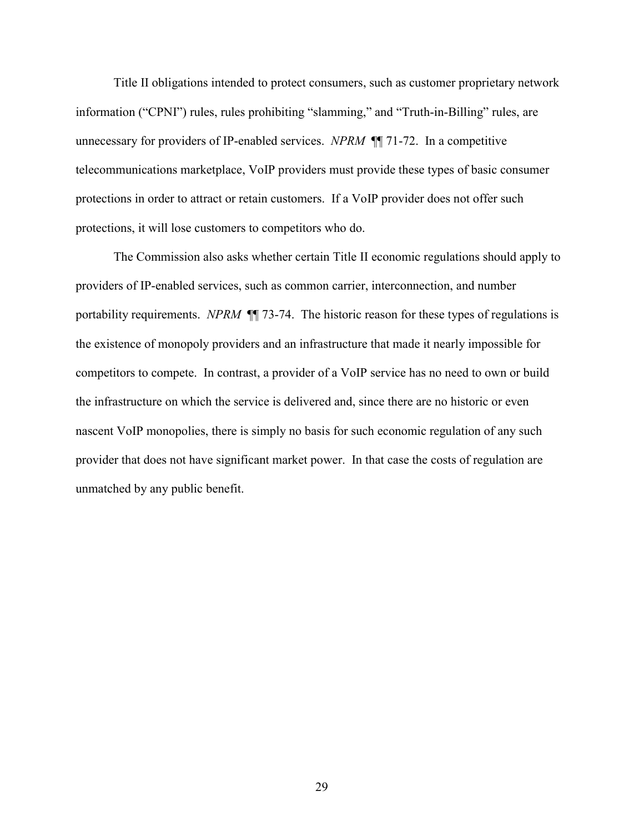Title II obligations intended to protect consumers, such as customer proprietary network information ("CPNI") rules, rules prohibiting "slamming," and "Truth-in-Billing" rules, are unnecessary for providers of IP-enabled services. *NPRM* ¶¶ 71-72. In a competitive telecommunications marketplace, VoIP providers must provide these types of basic consumer protections in order to attract or retain customers. If a VoIP provider does not offer such protections, it will lose customers to competitors who do.

 The Commission also asks whether certain Title II economic regulations should apply to providers of IP-enabled services, such as common carrier, interconnection, and number portability requirements. *NPRM* ¶¶ 73-74. The historic reason for these types of regulations is the existence of monopoly providers and an infrastructure that made it nearly impossible for competitors to compete. In contrast, a provider of a VoIP service has no need to own or build the infrastructure on which the service is delivered and, since there are no historic or even nascent VoIP monopolies, there is simply no basis for such economic regulation of any such provider that does not have significant market power. In that case the costs of regulation are unmatched by any public benefit.